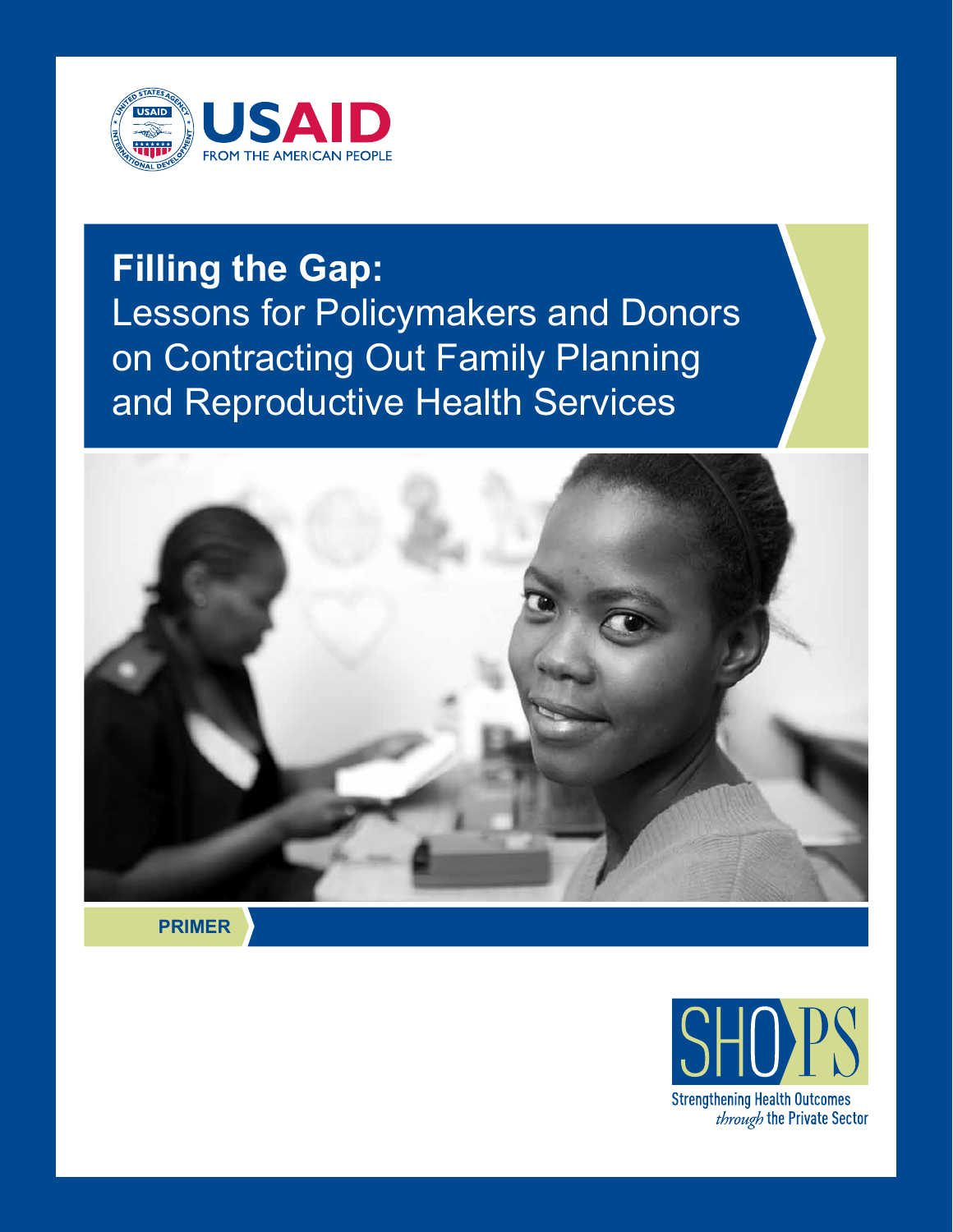

# **Filling the Gap:**  Lessons for Policymakers and Donors on Contracting Out Family Planning and Reproductive Health Services



**PRIMER**

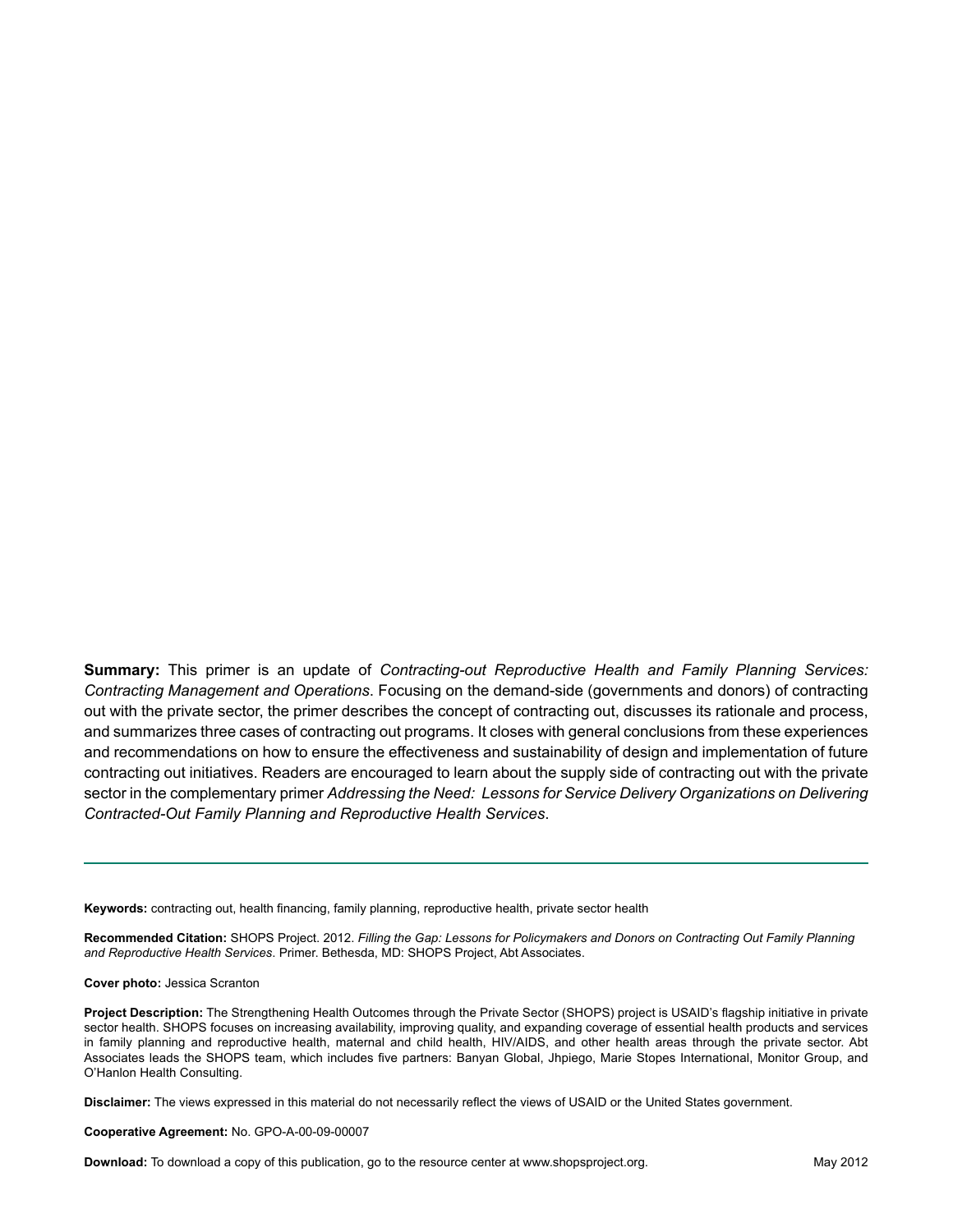**Summary:** This primer is an update of *Contracting-out Reproductive Health and Family Planning Services: Contracting Management and Operations*. Focusing on the demand-side (governments and donors) of contracting out with the private sector, the primer describes the concept of contracting out, discusses its rationale and process, and summarizes three cases of contracting out programs. It closes with general conclusions from these experiences and recommendations on how to ensure the effectiveness and sustainability of design and implementation of future contracting out initiatives. Readers are encouraged to learn about the supply side of contracting out with the private sector in the complementary primer *Addressing the Need: Lessons for Service Delivery Organizations on Delivering Contracted-Out Family Planning and Reproductive Health Services*.

**Keywords:** contracting out, health financing, family planning, reproductive health, private sector health

**Recommended Citation:** SHOPS Project. 2012. *Filling the Gap: Lessons for Policymakers and Donors on Contracting Out Family Planning and Reproductive Health Services*. Primer. Bethesda, MD: SHOPS Project, Abt Associates.

**Cover photo:** Jessica Scranton

**Project Description:** The Strengthening Health Outcomes through the Private Sector (SHOPS) project is USAID's flagship initiative in private sector health. SHOPS focuses on increasing availability, improving quality, and expanding coverage of essential health products and services in family planning and reproductive health, maternal and child health, HIV/AIDS, and other health areas through the private sector. Abt Associates leads the SHOPS team, which includes five partners: Banyan Global, Jhpiego, Marie Stopes International, Monitor Group, and O'Hanlon Health Consulting.

**Disclaimer:** The views expressed in this material do not necessarily reflect the views of USAID or the United States government.

**Cooperative Agreement:** No. GPO-A-00-09-00007

**Download:** To download a copy of this publication, go to the resource center at www.shopsproject.org. May 2012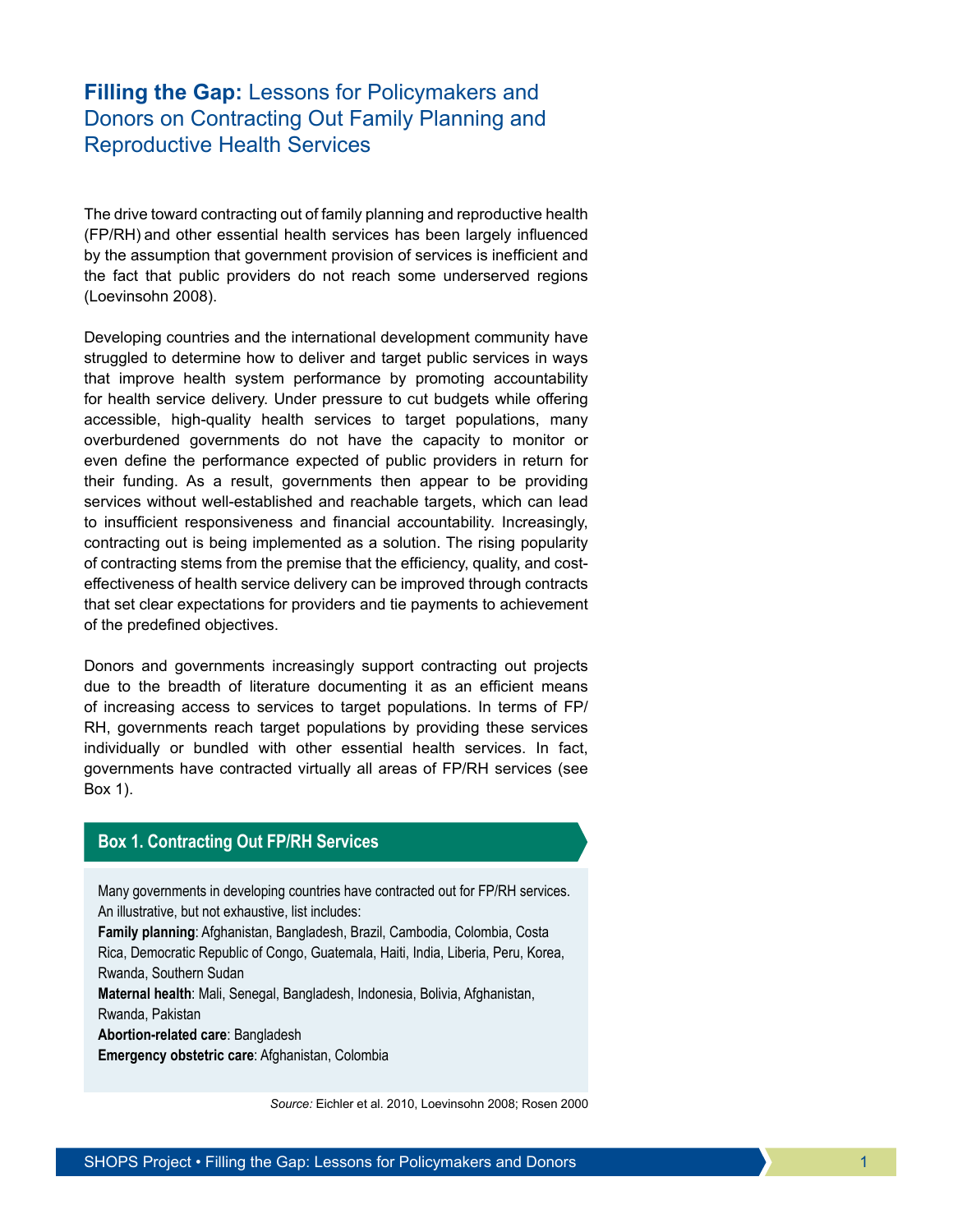# **Filling the Gap:** Lessons for Policymakers and Donors on Contracting Out Family Planning and Reproductive Health Services

The drive toward contracting out of family planning and reproductive health (FP/RH) and other essential health services has been largely influenced by the assumption that government provision of services is inefficient and the fact that public providers do not reach some underserved regions (Loevinsohn 2008).

Developing countries and the international development community have struggled to determine how to deliver and target public services in ways that improve health system performance by promoting accountability for health service delivery. Under pressure to cut budgets while offering accessible, high-quality health services to target populations, many overburdened governments do not have the capacity to monitor or even define the performance expected of public providers in return for their funding. As a result, governments then appear to be providing services without well-established and reachable targets, which can lead to insufficient responsiveness and financial accountability. Increasingly, contracting out is being implemented as a solution. The rising popularity of contracting stems from the premise that the efficiency, quality, and costeffectiveness of health service delivery can be improved through contracts that set clear expectations for providers and tie payments to achievement of the predefined objectives.

Donors and governments increasingly support contracting out projects due to the breadth of literature documenting it as an efficient means of increasing access to services to target populations. In terms of FP/ RH, governments reach target populations by providing these services individually or bundled with other essential health services. In fact, governments have contracted virtually all areas of FP/RH services (see Box 1).

## **Box 1. Contracting Out FP/RH Services**

Many governments in developing countries have contracted out for FP/RH services. An illustrative, but not exhaustive, list includes:

**Family planning**: Afghanistan, Bangladesh, Brazil, Cambodia, Colombia, Costa Rica, Democratic Republic of Congo, Guatemala, Haiti, India, Liberia, Peru, Korea, Rwanda, Southern Sudan

**Maternal health**: Mali, Senegal, Bangladesh, Indonesia, Bolivia, Afghanistan,

Rwanda, Pakistan

**Abortion-related care**: Bangladesh

**Emergency obstetric care**: Afghanistan, Colombia

*Source:* Eichler et al. 2010, Loevinsohn 2008; Rosen 2000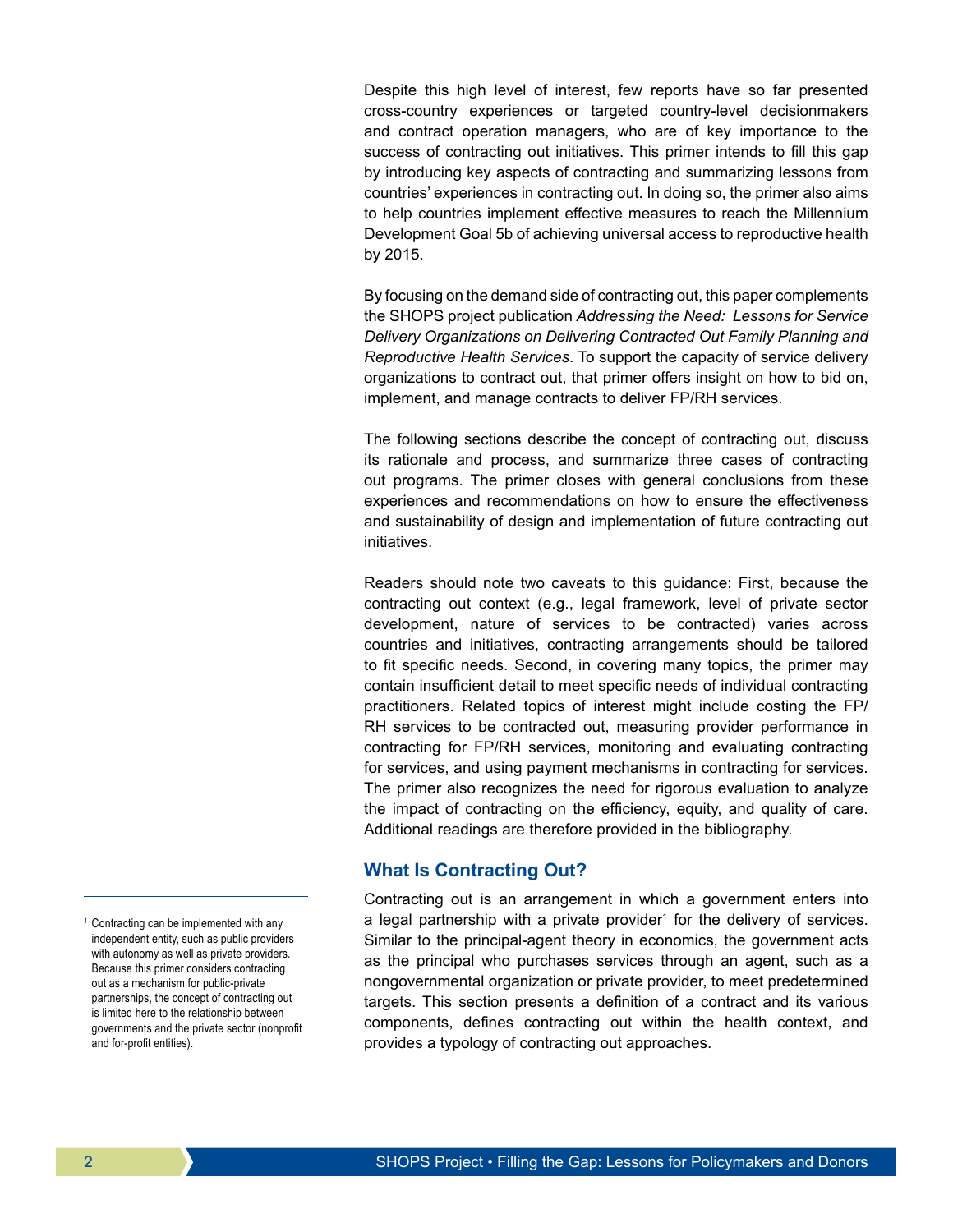Despite this high level of interest, few reports have so far presented cross-country experiences or targeted country-level decisionmakers and contract operation managers, who are of key importance to the success of contracting out initiatives. This primer intends to fill this gap by introducing key aspects of contracting and summarizing lessons from countries' experiences in contracting out. In doing so, the primer also aims to help countries implement effective measures to reach the Millennium Development Goal 5b of achieving universal access to reproductive health by 2015.

By focusing on the demand side of contracting out, this paper complements the SHOPS project publication *Addressing the Need: Lessons for Service Delivery Organizations on Delivering Contracted Out Family Planning and Reproductive Health Services*. To support the capacity of service delivery organizations to contract out, that primer offers insight on how to bid on, implement, and manage contracts to deliver FP/RH services.

The following sections describe the concept of contracting out, discuss its rationale and process, and summarize three cases of contracting out programs. The primer closes with general conclusions from these experiences and recommendations on how to ensure the effectiveness and sustainability of design and implementation of future contracting out initiatives.

Readers should note two caveats to this guidance: First, because the contracting out context (e.g., legal framework, level of private sector development, nature of services to be contracted) varies across countries and initiatives, contracting arrangements should be tailored to fit specific needs. Second, in covering many topics, the primer may contain insufficient detail to meet specific needs of individual contracting practitioners. Related topics of interest might include costing the FP/ RH services to be contracted out, measuring provider performance in contracting for FP/RH services, monitoring and evaluating contracting for services, and using payment mechanisms in contracting for services. The primer also recognizes the need for rigorous evaluation to analyze the impact of contracting on the efficiency, equity, and quality of care. Additional readings are therefore provided in the bibliography.

## **What Is Contracting Out?**

Contracting out is an arrangement in which a government enters into a legal partnership with a private provider<sup>1</sup> for the delivery of services. Similar to the principal-agent theory in economics, the government acts as the principal who purchases services through an agent, such as a nongovernmental organization or private provider, to meet predetermined targets. This section presents a definition of a contract and its various components, defines contracting out within the health context, and provides a typology of contracting out approaches.

<sup>1</sup> Contracting can be implemented with any independent entity, such as public providers with autonomy as well as private providers. Because this primer considers contracting out as a mechanism for public-private partnerships, the concept of contracting out is limited here to the relationship between governments and the private sector (nonprofit and for-profit entities).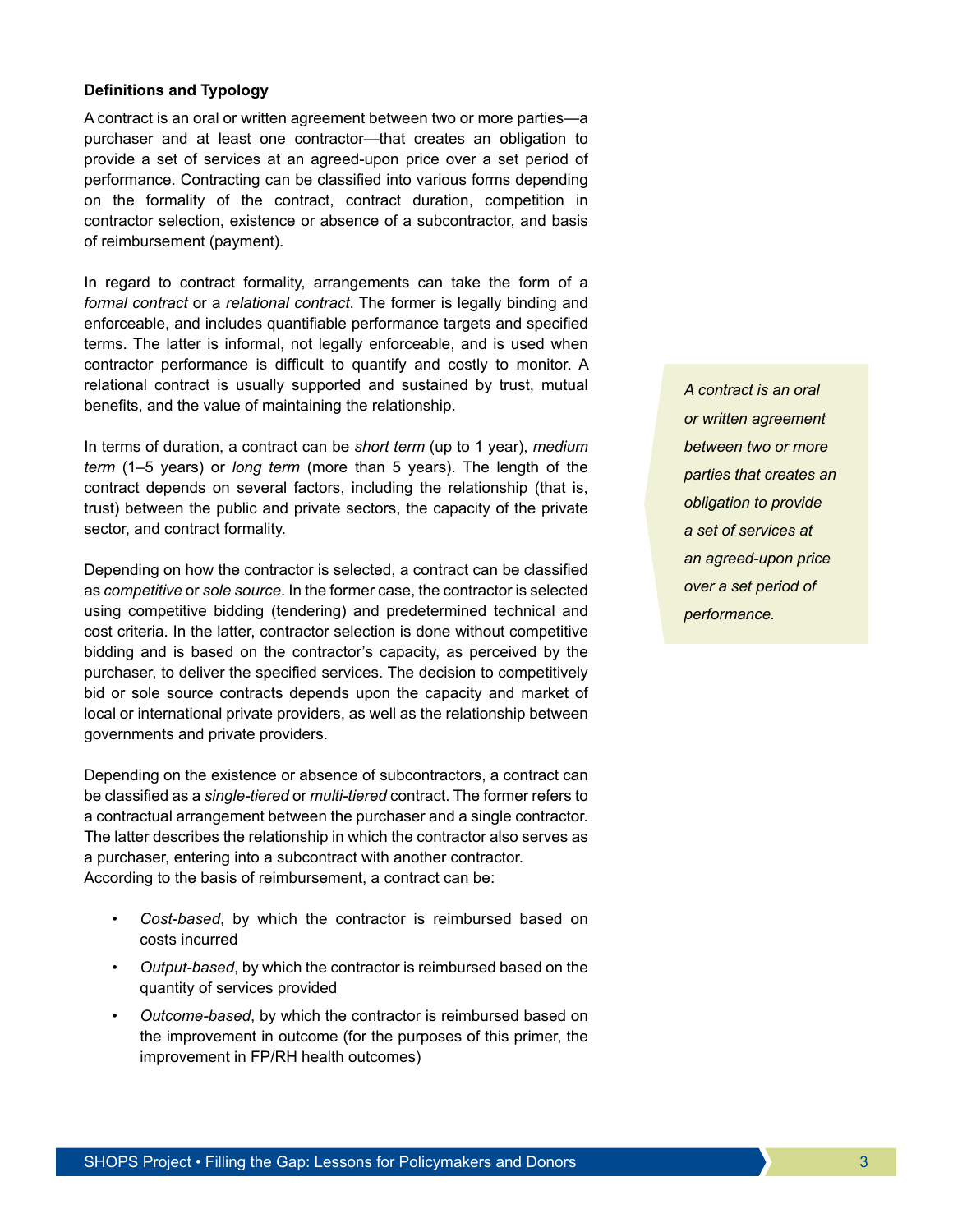#### **Definitions and Typology**

A contract is an oral or written agreement between two or more parties—a purchaser and at least one contractor—that creates an obligation to provide a set of services at an agreed-upon price over a set period of performance. Contracting can be classified into various forms depending on the formality of the contract, contract duration, competition in contractor selection, existence or absence of a subcontractor, and basis of reimbursement (payment).

In regard to contract formality, arrangements can take the form of a *formal contract* or a *relational contract*. The former is legally binding and enforceable, and includes quantifiable performance targets and specified terms. The latter is informal, not legally enforceable, and is used when contractor performance is difficult to quantify and costly to monitor. A relational contract is usually supported and sustained by trust, mutual benefits, and the value of maintaining the relationship.

In terms of duration, a contract can be *short term* (up to 1 year), *medium term* (1–5 years) or *long term* (more than 5 years). The length of the contract depends on several factors, including the relationship (that is, trust) between the public and private sectors, the capacity of the private sector, and contract formality.

Depending on how the contractor is selected, a contract can be classified as *competitive* or *sole source*. In the former case, the contractor is selected using competitive bidding (tendering) and predetermined technical and cost criteria. In the latter, contractor selection is done without competitive bidding and is based on the contractor's capacity, as perceived by the purchaser, to deliver the specified services. The decision to competitively bid or sole source contracts depends upon the capacity and market of local or international private providers, as well as the relationship between governments and private providers.

Depending on the existence or absence of subcontractors, a contract can be classified as a *single-tiered* or *multi-tiered* contract. The former refers to a contractual arrangement between the purchaser and a single contractor. The latter describes the relationship in which the contractor also serves as a purchaser, entering into a subcontract with another contractor. According to the basis of reimbursement, a contract can be:

- *Cost-based*, by which the contractor is reimbursed based on costs incurred
- *Output-based*, by which the contractor is reimbursed based on the quantity of services provided
- *Outcome-based*, by which the contractor is reimbursed based on the improvement in outcome (for the purposes of this primer, the improvement in FP/RH health outcomes)

*A contract is an oral or written agreement between two or more parties that creates an obligation to provide a set of services at an agreed-upon price over a set period of performance.*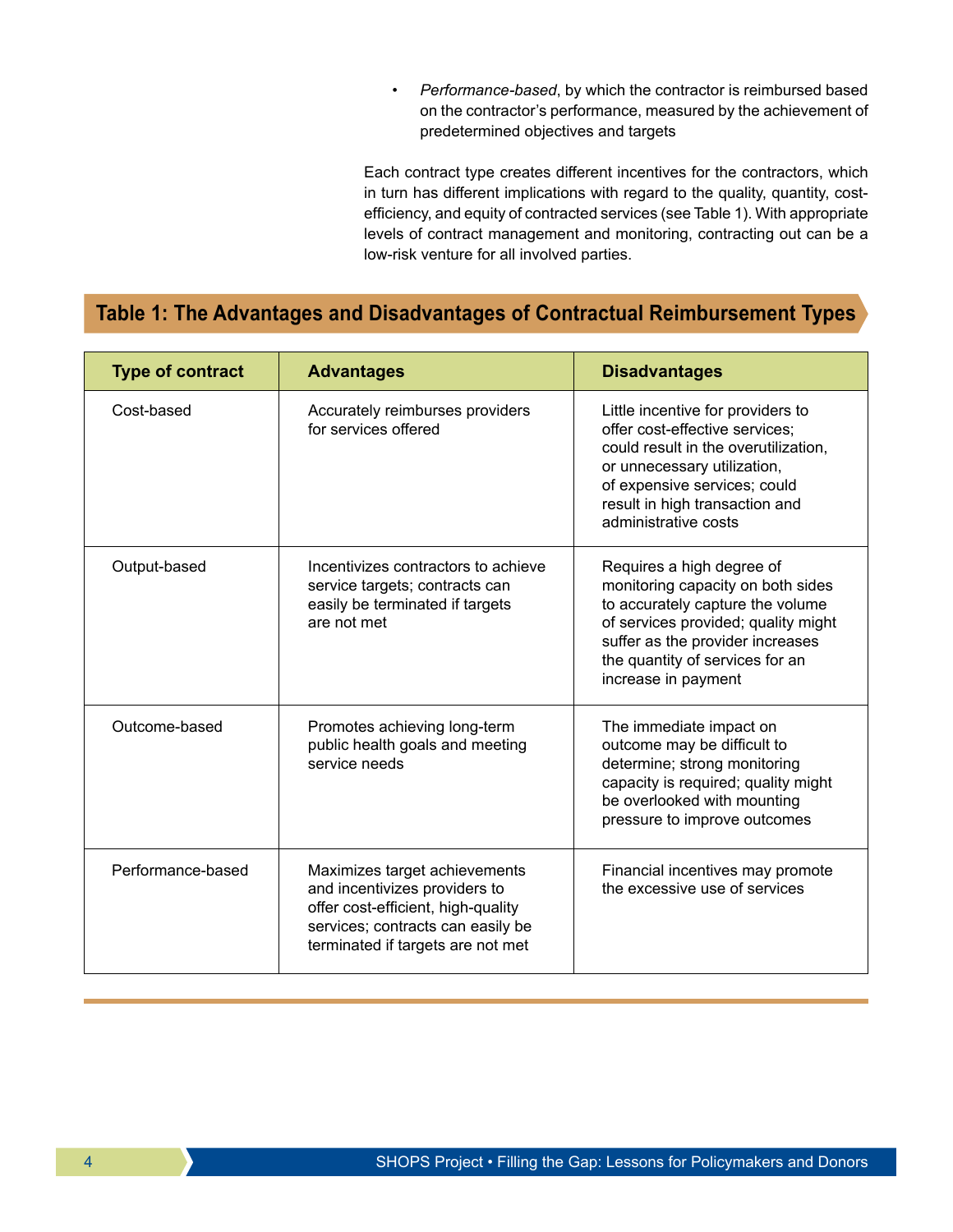• *Performance-based*, by which the contractor is reimbursed based on the contractor's performance, measured by the achievement of predetermined objectives and targets

Each contract type creates different incentives for the contractors, which in turn has different implications with regard to the quality, quantity, costefficiency, and equity of contracted services (see Table 1). With appropriate levels of contract management and monitoring, contracting out can be a low-risk venture for all involved parties.

# **Table 1: The Advantages and Disadvantages of Contractual Reimbursement Types**

| <b>Type of contract</b> | <b>Advantages</b>                                                                                                                                                              | <b>Disadvantages</b>                                                                                                                                                                                                                    |
|-------------------------|--------------------------------------------------------------------------------------------------------------------------------------------------------------------------------|-----------------------------------------------------------------------------------------------------------------------------------------------------------------------------------------------------------------------------------------|
| Cost-based              | Accurately reimburses providers<br>for services offered                                                                                                                        | Little incentive for providers to<br>offer cost-effective services;<br>could result in the overutilization,<br>or unnecessary utilization,<br>of expensive services; could<br>result in high transaction and<br>administrative costs    |
| Output-based            | Incentivizes contractors to achieve<br>service targets; contracts can<br>easily be terminated if targets<br>are not met                                                        | Requires a high degree of<br>monitoring capacity on both sides<br>to accurately capture the volume<br>of services provided; quality might<br>suffer as the provider increases<br>the quantity of services for an<br>increase in payment |
| Outcome-based           | Promotes achieving long-term<br>public health goals and meeting<br>service needs                                                                                               | The immediate impact on<br>outcome may be difficult to<br>determine; strong monitoring<br>capacity is required; quality might<br>be overlooked with mounting<br>pressure to improve outcomes                                            |
| Performance-based       | Maximizes target achievements<br>and incentivizes providers to<br>offer cost-efficient, high-quality<br>services; contracts can easily be<br>terminated if targets are not met | Financial incentives may promote<br>the excessive use of services                                                                                                                                                                       |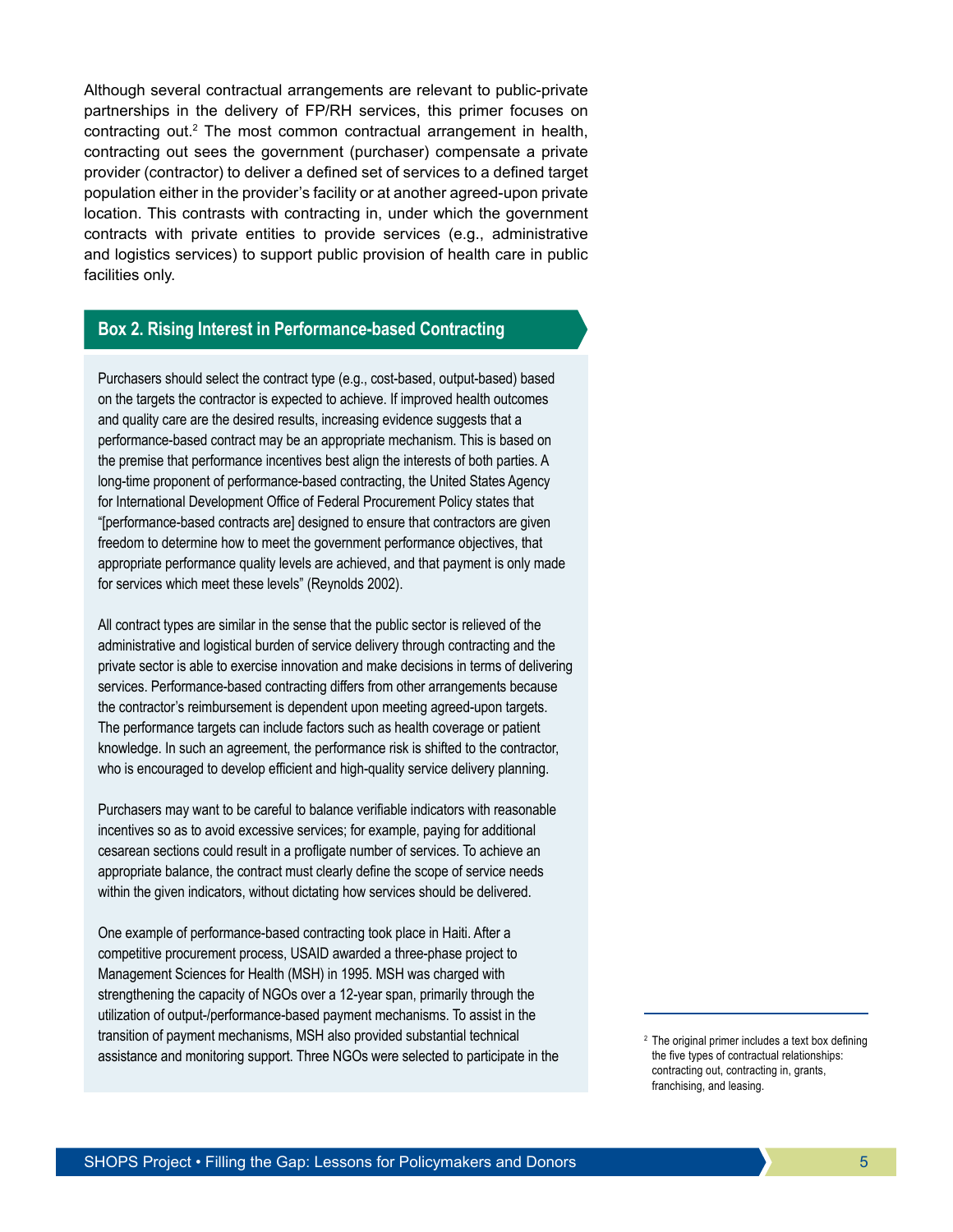Although several contractual arrangements are relevant to public-private partnerships in the delivery of FP/RH services, this primer focuses on contracting out.<sup>2</sup> The most common contractual arrangement in health, contracting out sees the government (purchaser) compensate a private provider (contractor) to deliver a defined set of services to a defined target population either in the provider's facility or at another agreed-upon private location. This contrasts with contracting in, under which the government contracts with private entities to provide services (e.g., administrative and logistics services) to support public provision of health care in public facilities only.

## **Box 2. Rising Interest in Performance-based Contracting**

Purchasers should select the contract type (e.g., cost-based, output-based) based on the targets the contractor is expected to achieve. If improved health outcomes and quality care are the desired results, increasing evidence suggests that a performance-based contract may be an appropriate mechanism. This is based on the premise that performance incentives best align the interests of both parties. A long-time proponent of performance-based contracting, the United States Agency for International Development Office of Federal Procurement Policy states that "[performance-based contracts are] designed to ensure that contractors are given freedom to determine how to meet the government performance objectives, that appropriate performance quality levels are achieved, and that payment is only made for services which meet these levels" (Reynolds 2002).

All contract types are similar in the sense that the public sector is relieved of the administrative and logistical burden of service delivery through contracting and the private sector is able to exercise innovation and make decisions in terms of delivering services. Performance-based contracting differs from other arrangements because the contractor's reimbursement is dependent upon meeting agreed-upon targets. The performance targets can include factors such as health coverage or patient knowledge. In such an agreement, the performance risk is shifted to the contractor, who is encouraged to develop efficient and high-quality service delivery planning.

Purchasers may want to be careful to balance verifiable indicators with reasonable incentives so as to avoid excessive services; for example, paying for additional cesarean sections could result in a profligate number of services. To achieve an appropriate balance, the contract must clearly define the scope of service needs within the given indicators, without dictating how services should be delivered.

One example of performance-based contracting took place in Haiti. After a competitive procurement process, USAID awarded a three-phase project to Management Sciences for Health (MSH) in 1995. MSH was charged with strengthening the capacity of NGOs over a 12-year span, primarily through the utilization of output-/performance-based payment mechanisms. To assist in the transition of payment mechanisms, MSH also provided substantial technical assistance and monitoring support. Three NGOs were selected to participate in the

 $2$  The original primer includes a text box defining the five types of contractual relationships: contracting out, contracting in, grants, franchising, and leasing.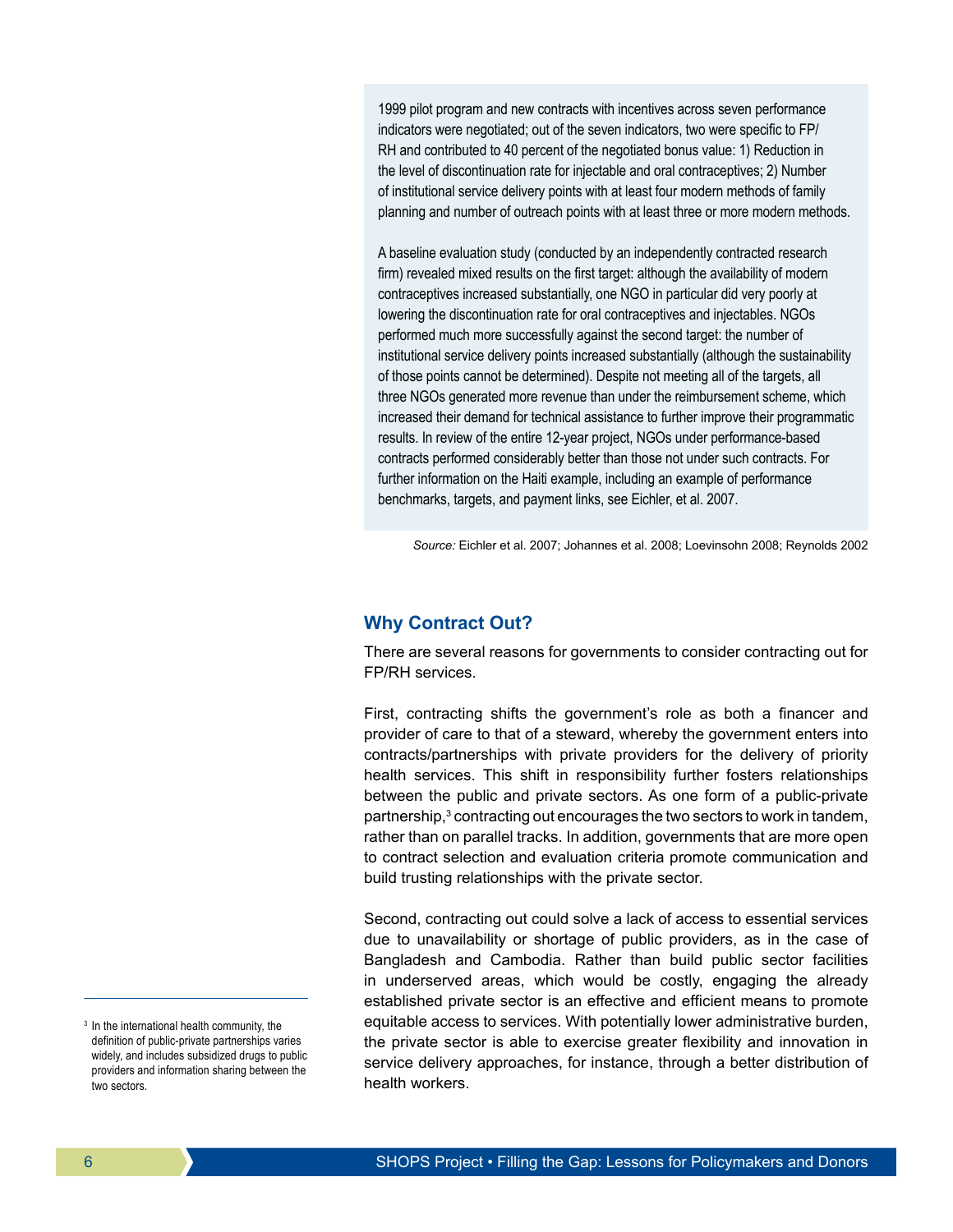1999 pilot program and new contracts with incentives across seven performance indicators were negotiated; out of the seven indicators, two were specific to FP/ RH and contributed to 40 percent of the negotiated bonus value: 1) Reduction in the level of discontinuation rate for injectable and oral contraceptives; 2) Number of institutional service delivery points with at least four modern methods of family planning and number of outreach points with at least three or more modern methods.

A baseline evaluation study (conducted by an independently contracted research firm) revealed mixed results on the first target: although the availability of modern contraceptives increased substantially, one NGO in particular did very poorly at lowering the discontinuation rate for oral contraceptives and injectables. NGOs performed much more successfully against the second target: the number of institutional service delivery points increased substantially (although the sustainability of those points cannot be determined). Despite not meeting all of the targets, all three NGOs generated more revenue than under the reimbursement scheme, which increased their demand for technical assistance to further improve their programmatic results. In review of the entire 12-year project, NGOs under performance-based contracts performed considerably better than those not under such contracts. For further information on the Haiti example, including an example of performance benchmarks, targets, and payment links, see Eichler, et al. 2007.

*Source:* Eichler et al. 2007; Johannes et al. 2008; Loevinsohn 2008; Reynolds 2002

## **Why Contract Out?**

There are several reasons for governments to consider contracting out for FP/RH services.

First, contracting shifts the government's role as both a financer and provider of care to that of a steward, whereby the government enters into contracts/partnerships with private providers for the delivery of priority health services. This shift in responsibility further fosters relationships between the public and private sectors. As one form of a public-private partnership,<sup>3</sup> contracting out encourages the two sectors to work in tandem, rather than on parallel tracks. In addition, governments that are more open to contract selection and evaluation criteria promote communication and build trusting relationships with the private sector.

Second, contracting out could solve a lack of access to essential services due to unavailability or shortage of public providers, as in the case of Bangladesh and Cambodia. Rather than build public sector facilities in underserved areas, which would be costly, engaging the already established private sector is an effective and efficient means to promote equitable access to services. With potentially lower administrative burden, the private sector is able to exercise greater flexibility and innovation in service delivery approaches, for instance, through a better distribution of health workers.

<sup>&</sup>lt;sup>3</sup> In the international health community, the definition of public-private partnerships varies widely, and includes subsidized drugs to public providers and information sharing between the two sectors.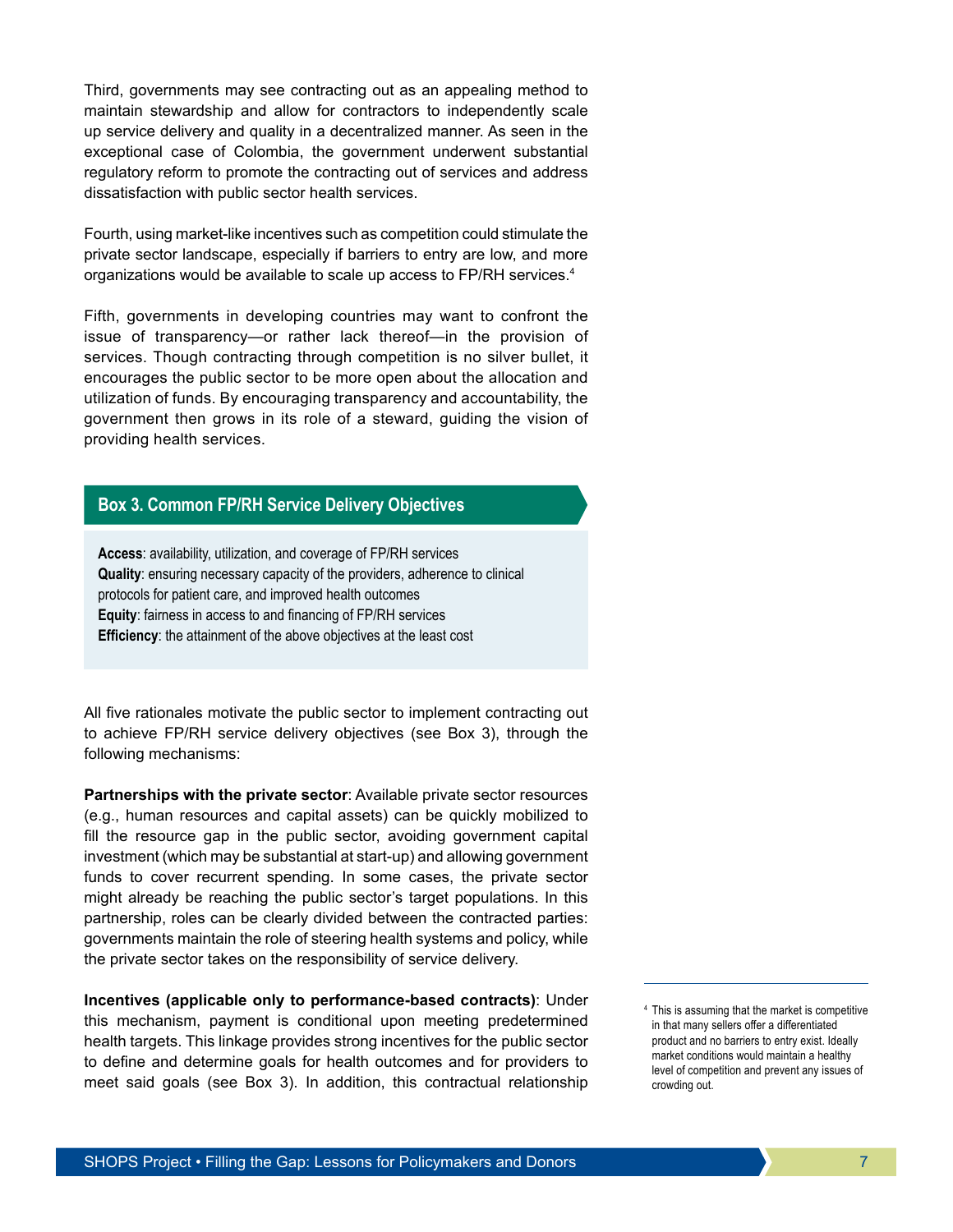Third, governments may see contracting out as an appealing method to maintain stewardship and allow for contractors to independently scale up service delivery and quality in a decentralized manner. As seen in the exceptional case of Colombia, the government underwent substantial regulatory reform to promote the contracting out of services and address dissatisfaction with public sector health services.

Fourth, using market-like incentives such as competition could stimulate the private sector landscape, especially if barriers to entry are low, and more organizations would be available to scale up access to FP/RH services.<sup>4</sup>

Fifth, governments in developing countries may want to confront the issue of transparency—or rather lack thereof—in the provision of services. Though contracting through competition is no silver bullet, it encourages the public sector to be more open about the allocation and utilization of funds. By encouraging transparency and accountability, the government then grows in its role of a steward, guiding the vision of providing health services.

## **Box 3. Common FP/RH Service Delivery Objectives**

**Access**: availability, utilization, and coverage of FP/RH services **Quality**: ensuring necessary capacity of the providers, adherence to clinical protocols for patient care, and improved health outcomes **Equity**: fairness in access to and financing of FP/RH services **Efficiency:** the attainment of the above objectives at the least cost

All five rationales motivate the public sector to implement contracting out to achieve FP/RH service delivery objectives (see Box 3), through the following mechanisms:

**Partnerships with the private sector**: Available private sector resources (e.g., human resources and capital assets) can be quickly mobilized to fill the resource gap in the public sector, avoiding government capital investment (which may be substantial at start-up) and allowing government funds to cover recurrent spending. In some cases, the private sector might already be reaching the public sector's target populations. In this partnership, roles can be clearly divided between the contracted parties: governments maintain the role of steering health systems and policy, while the private sector takes on the responsibility of service delivery.

**Incentives (applicable only to performance-based contracts)**: Under this mechanism, payment is conditional upon meeting predetermined health targets. This linkage provides strong incentives for the public sector to define and determine goals for health outcomes and for providers to meet said goals (see Box 3). In addition, this contractual relationship

<sup>4</sup> This is assuming that the market is competitive in that many sellers offer a differentiated product and no barriers to entry exist. Ideally market conditions would maintain a healthy level of competition and prevent any issues of crowding out.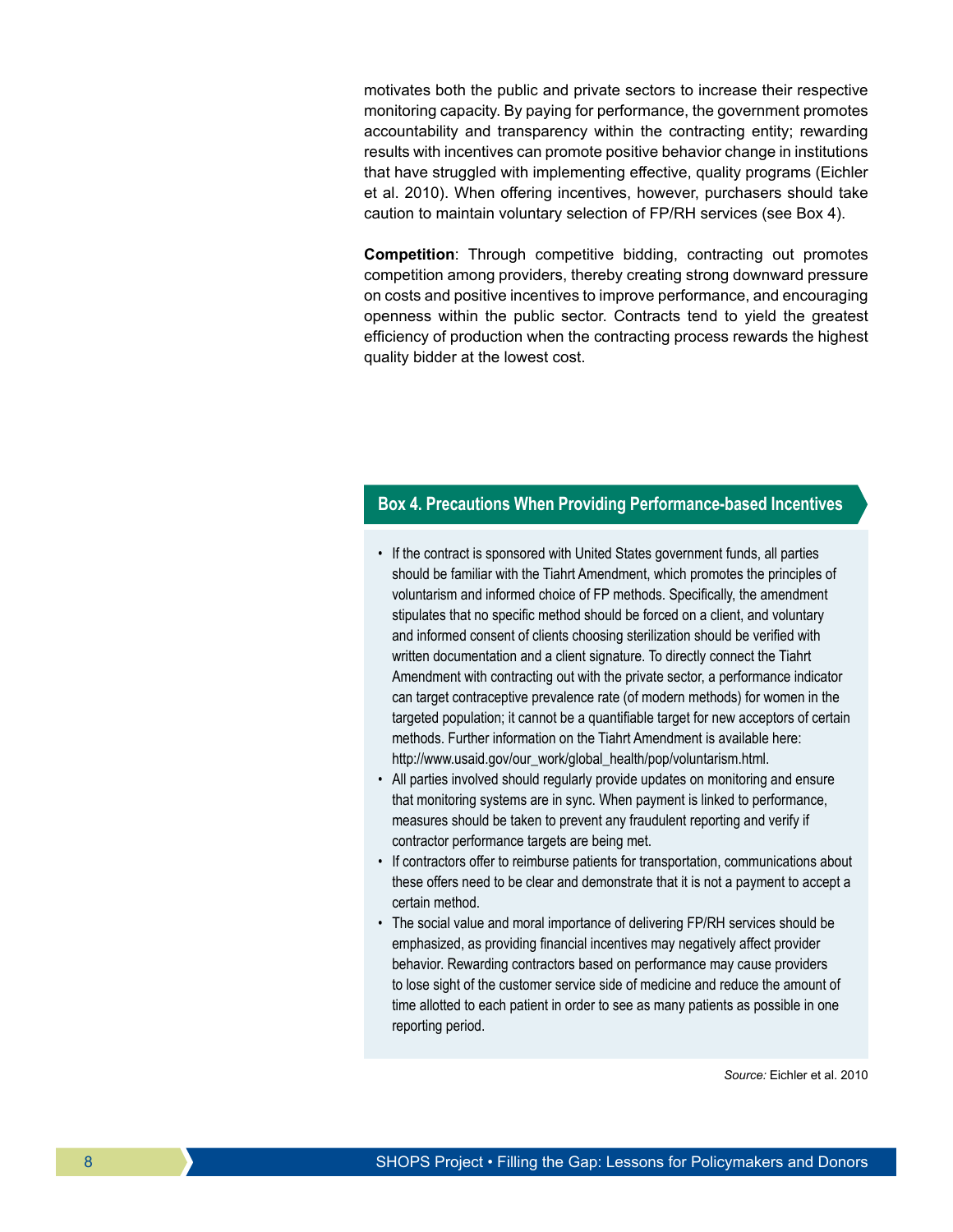motivates both the public and private sectors to increase their respective monitoring capacity. By paying for performance, the government promotes accountability and transparency within the contracting entity; rewarding results with incentives can promote positive behavior change in institutions that have struggled with implementing effective, quality programs (Eichler et al. 2010). When offering incentives, however, purchasers should take caution to maintain voluntary selection of FP/RH services (see Box 4).

**Competition**: Through competitive bidding, contracting out promotes competition among providers, thereby creating strong downward pressure on costs and positive incentives to improve performance, and encouraging openness within the public sector. Contracts tend to yield the greatest efficiency of production when the contracting process rewards the highest quality bidder at the lowest cost.

## **Box 4. Precautions When Providing Performance-based Incentives**

- If the contract is sponsored with United States government funds, all parties should be familiar with the Tiahrt Amendment, which promotes the principles of voluntarism and informed choice of FP methods. Specifically, the amendment stipulates that no specific method should be forced on a client, and voluntary and informed consent of clients choosing sterilization should be verified with written documentation and a client signature. To directly connect the Tiahrt Amendment with contracting out with the private sector, a performance indicator can target contraceptive prevalence rate (of modern methods) for women in the targeted population; it cannot be a quantifiable target for new acceptors of certain methods. Further information on the Tiahrt Amendment is available here: http://www.usaid.gov/our\_work/global\_health/pop/voluntarism.html.
- All parties involved should regularly provide updates on monitoring and ensure that monitoring systems are in sync. When payment is linked to performance, measures should be taken to prevent any fraudulent reporting and verify if contractor performance targets are being met.
- If contractors offer to reimburse patients for transportation, communications about these offers need to be clear and demonstrate that it is not a payment to accept a certain method.
- The social value and moral importance of delivering FP/RH services should be emphasized, as providing financial incentives may negatively affect provider behavior. Rewarding contractors based on performance may cause providers to lose sight of the customer service side of medicine and reduce the amount of time allotted to each patient in order to see as many patients as possible in one reporting period.

*Source:* Eichler et al. 2010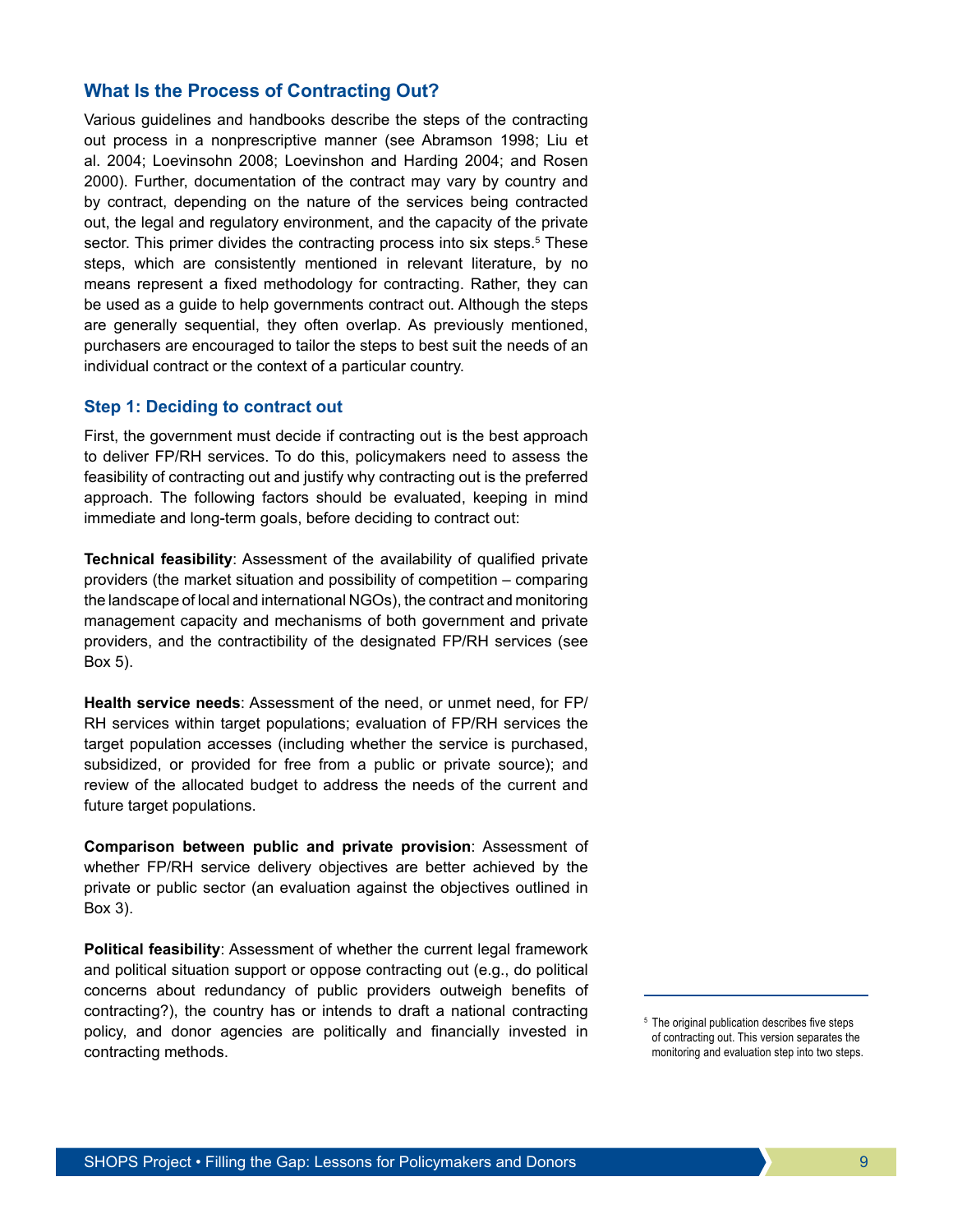## **What Is the Process of Contracting Out?**

Various guidelines and handbooks describe the steps of the contracting out process in a nonprescriptive manner (see Abramson 1998; Liu et al. 2004; Loevinsohn 2008; Loevinshon and Harding 2004; and Rosen 2000). Further, documentation of the contract may vary by country and by contract, depending on the nature of the services being contracted out, the legal and regulatory environment, and the capacity of the private sector. This primer divides the contracting process into six steps.<sup>5</sup> These steps, which are consistently mentioned in relevant literature, by no means represent a fixed methodology for contracting. Rather, they can be used as a guide to help governments contract out. Although the steps are generally sequential, they often overlap. As previously mentioned, purchasers are encouraged to tailor the steps to best suit the needs of an individual contract or the context of a particular country.

#### **Step 1: Deciding to contract out**

First, the government must decide if contracting out is the best approach to deliver FP/RH services. To do this, policymakers need to assess the feasibility of contracting out and justify why contracting out is the preferred approach. The following factors should be evaluated, keeping in mind immediate and long-term goals, before deciding to contract out:

**Technical feasibility**: Assessment of the availability of qualified private providers (the market situation and possibility of competition – comparing the landscape of local and international NGOs), the contract and monitoring management capacity and mechanisms of both government and private providers, and the contractibility of the designated FP/RH services (see Box 5).

**Health service needs**: Assessment of the need, or unmet need, for FP/ RH services within target populations; evaluation of FP/RH services the target population accesses (including whether the service is purchased, subsidized, or provided for free from a public or private source); and review of the allocated budget to address the needs of the current and future target populations.

**Comparison between public and private provision**: Assessment of whether FP/RH service delivery objectives are better achieved by the private or public sector (an evaluation against the objectives outlined in Box 3).

**Political feasibility**: Assessment of whether the current legal framework and political situation support or oppose contracting out (e.g., do political concerns about redundancy of public providers outweigh benefits of contracting?), the country has or intends to draft a national contracting policy, and donor agencies are politically and financially invested in contracting methods.

<sup>&</sup>lt;sup>5</sup> The original publication describes five steps of contracting out. This version separates the monitoring and evaluation step into two steps.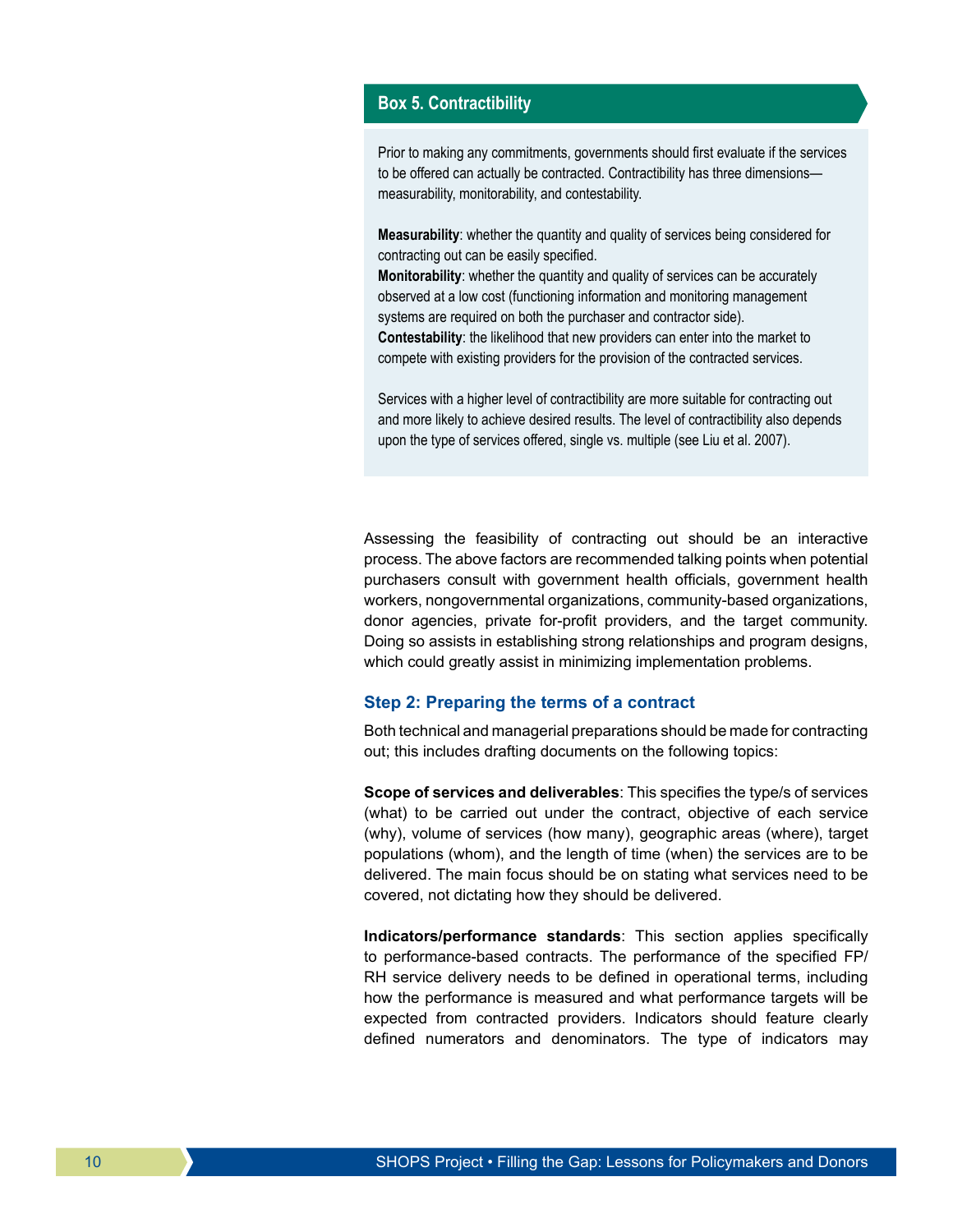#### **Box 5. Contractibility**

Prior to making any commitments, governments should first evaluate if the services to be offered can actually be contracted. Contractibility has three dimensions measurability, monitorability, and contestability.

**Measurability**: whether the quantity and quality of services being considered for contracting out can be easily specified.

**Monitorability**: whether the quantity and quality of services can be accurately observed at a low cost (functioning information and monitoring management systems are required on both the purchaser and contractor side). **Contestability**: the likelihood that new providers can enter into the market to compete with existing providers for the provision of the contracted services.

Services with a higher level of contractibility are more suitable for contracting out and more likely to achieve desired results. The level of contractibility also depends upon the type of services offered, single vs. multiple (see Liu et al. 2007).

Assessing the feasibility of contracting out should be an interactive process. The above factors are recommended talking points when potential purchasers consult with government health officials, government health workers, nongovernmental organizations, community-based organizations, donor agencies, private for-profit providers, and the target community. Doing so assists in establishing strong relationships and program designs, which could greatly assist in minimizing implementation problems.

#### **Step 2: Preparing the terms of a contract**

Both technical and managerial preparations should be made for contracting out; this includes drafting documents on the following topics:

**Scope of services and deliverables**: This specifies the type/s of services (what) to be carried out under the contract, objective of each service (why), volume of services (how many), geographic areas (where), target populations (whom), and the length of time (when) the services are to be delivered. The main focus should be on stating what services need to be covered, not dictating how they should be delivered.

**Indicators/performance standards**: This section applies specifically to performance-based contracts. The performance of the specified FP/ RH service delivery needs to be defined in operational terms, including how the performance is measured and what performance targets will be expected from contracted providers. Indicators should feature clearly defined numerators and denominators. The type of indicators may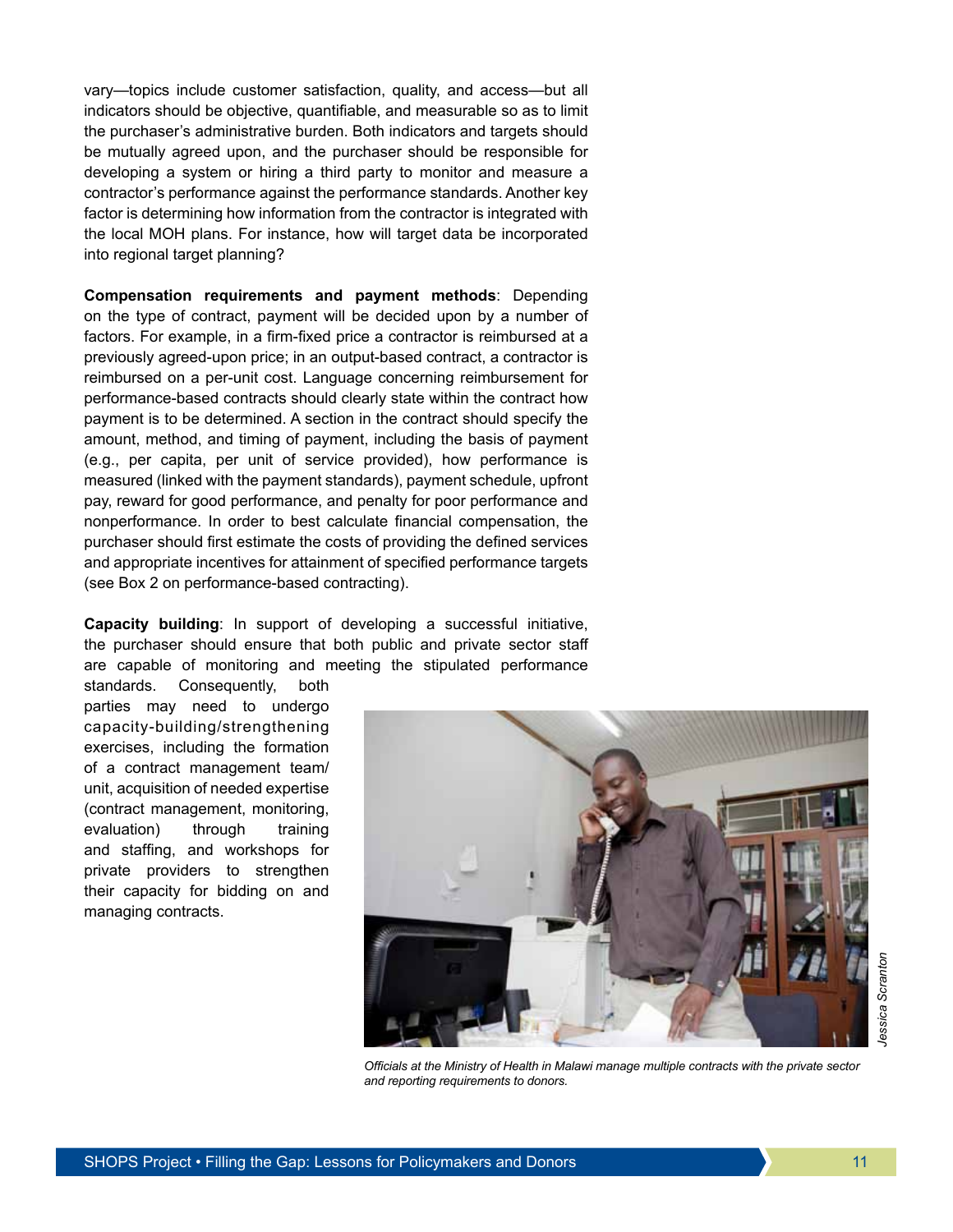vary—topics include customer satisfaction, quality, and access—but all indicators should be objective, quantifiable, and measurable so as to limit the purchaser's administrative burden. Both indicators and targets should be mutually agreed upon, and the purchaser should be responsible for developing a system or hiring a third party to monitor and measure a contractor's performance against the performance standards. Another key factor is determining how information from the contractor is integrated with the local MOH plans. For instance, how will target data be incorporated into regional target planning?

**Compensation requirements and payment methods**: Depending on the type of contract, payment will be decided upon by a number of factors. For example, in a firm-fixed price a contractor is reimbursed at a previously agreed-upon price; in an output-based contract, a contractor is reimbursed on a per-unit cost. Language concerning reimbursement for performance-based contracts should clearly state within the contract how payment is to be determined. A section in the contract should specify the amount, method, and timing of payment, including the basis of payment (e.g., per capita, per unit of service provided), how performance is measured (linked with the payment standards), payment schedule, upfront pay, reward for good performance, and penalty for poor performance and nonperformance. In order to best calculate financial compensation, the purchaser should first estimate the costs of providing the defined services and appropriate incentives for attainment of specified performance targets (see Box 2 on performance-based contracting).

**Capacity building**: In support of developing a successful initiative, the purchaser should ensure that both public and private sector staff are capable of monitoring and meeting the stipulated performance

standards. Consequently, both parties may need to undergo capacity-building/strengthening exercises, including the formation of a contract management team/ unit, acquisition of needed expertise (contract management, monitoring, evaluation) through training and staffing, and workshops for private providers to strengthen their capacity for bidding on and managing contracts.



*Officials at the Ministry of Health in Malawi manage multiple contracts with the private sector and reporting requirements to donors.*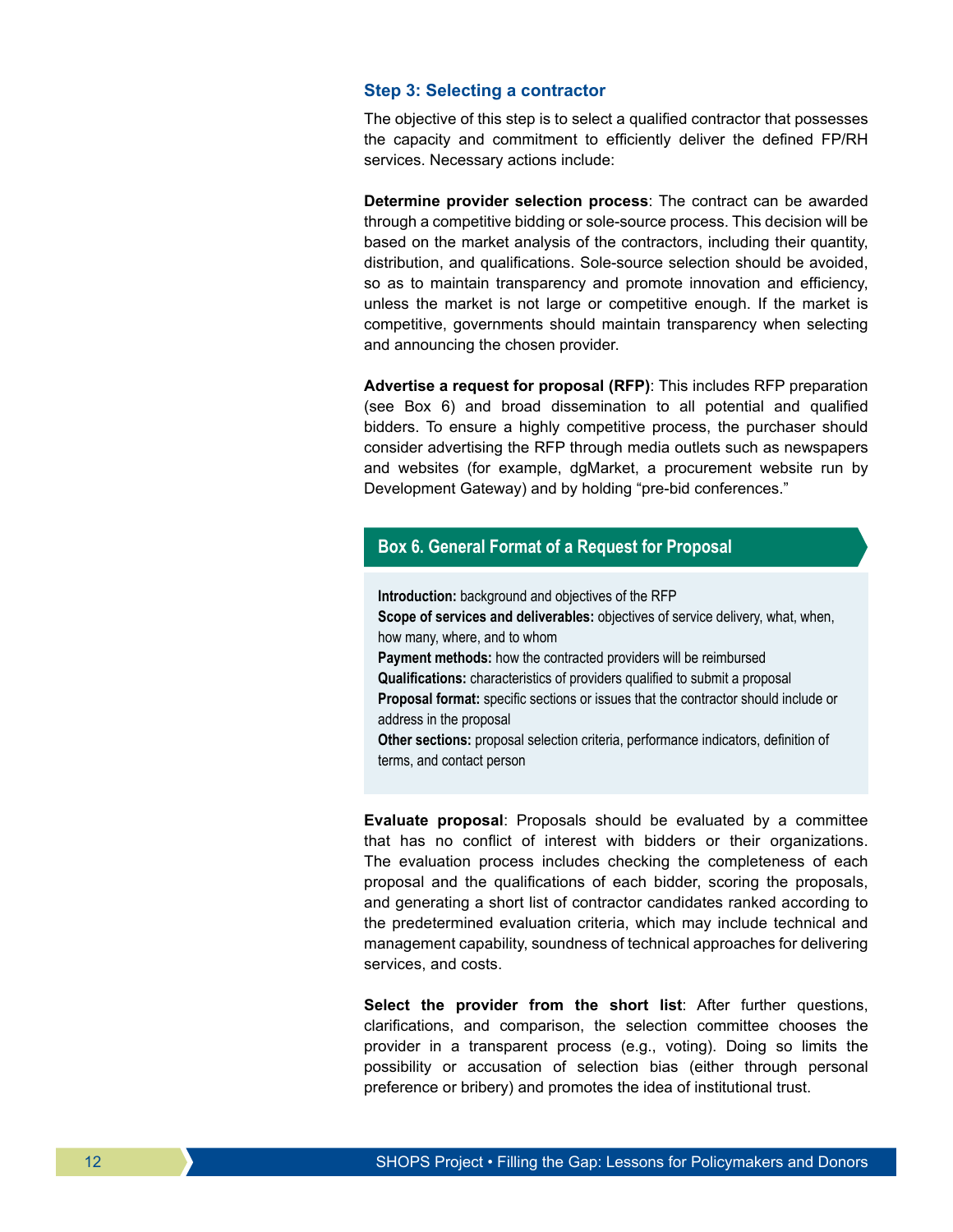#### **Step 3: Selecting a contractor**

The objective of this step is to select a qualified contractor that possesses the capacity and commitment to efficiently deliver the defined FP/RH services. Necessary actions include:

**Determine provider selection process**: The contract can be awarded through a competitive bidding or sole-source process. This decision will be based on the market analysis of the contractors, including their quantity, distribution, and qualifications. Sole-source selection should be avoided, so as to maintain transparency and promote innovation and efficiency, unless the market is not large or competitive enough. If the market is competitive, governments should maintain transparency when selecting and announcing the chosen provider.

**Advertise a request for proposal (RFP)**: This includes RFP preparation (see Box 6) and broad dissemination to all potential and qualified bidders. To ensure a highly competitive process, the purchaser should consider advertising the RFP through media outlets such as newspapers and websites (for example, dgMarket, a procurement website run by Development Gateway) and by holding "pre-bid conferences."

## **Box 6. General Format of a Request for Proposal**

**Introduction:** background and objectives of the RFP **Scope of services and deliverables:** objectives of service delivery, what, when,

how many, where, and to whom **Payment methods:** how the contracted providers will be reimbursed

**Qualifications:** characteristics of providers qualified to submit a proposal **Proposal format:** specific sections or issues that the contractor should include or address in the proposal

**Other sections:** proposal selection criteria, performance indicators, definition of terms, and contact person

**Evaluate proposal**: Proposals should be evaluated by a committee that has no conflict of interest with bidders or their organizations. The evaluation process includes checking the completeness of each proposal and the qualifications of each bidder, scoring the proposals, and generating a short list of contractor candidates ranked according to the predetermined evaluation criteria, which may include technical and management capability, soundness of technical approaches for delivering services, and costs.

**Select the provider from the short list**: After further questions, clarifications, and comparison, the selection committee chooses the provider in a transparent process (e.g., voting). Doing so limits the possibility or accusation of selection bias (either through personal preference or bribery) and promotes the idea of institutional trust.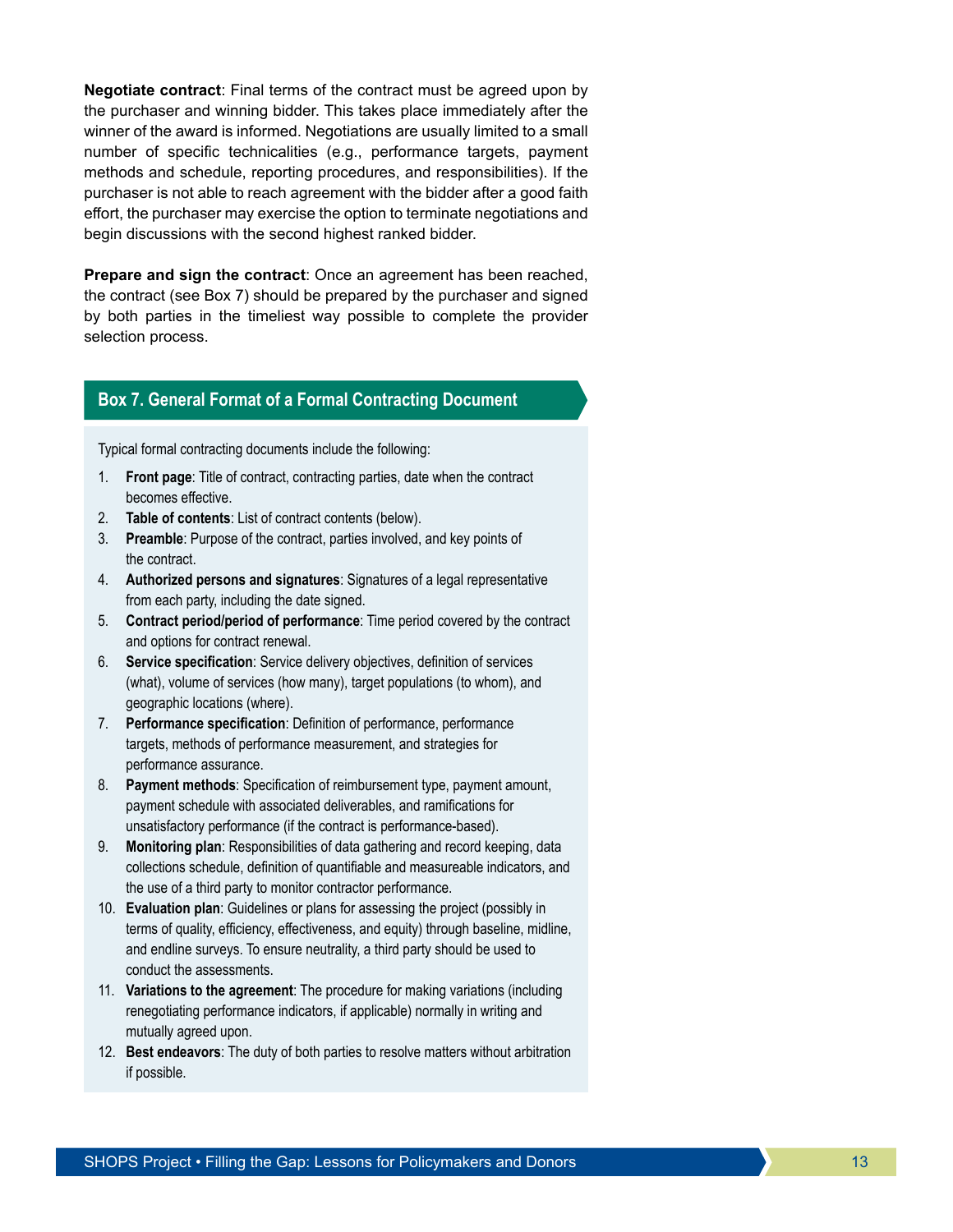**Negotiate contract**: Final terms of the contract must be agreed upon by the purchaser and winning bidder. This takes place immediately after the winner of the award is informed. Negotiations are usually limited to a small number of specific technicalities (e.g., performance targets, payment methods and schedule, reporting procedures, and responsibilities). If the purchaser is not able to reach agreement with the bidder after a good faith effort, the purchaser may exercise the option to terminate negotiations and begin discussions with the second highest ranked bidder.

**Prepare and sign the contract**: Once an agreement has been reached, the contract (see Box 7) should be prepared by the purchaser and signed by both parties in the timeliest way possible to complete the provider selection process.

## **Box 7. General Format of a Formal Contracting Document**

Typical formal contracting documents include the following:

- 1. **Front page**: Title of contract, contracting parties, date when the contract becomes effective.
- 2. **Table of contents**: List of contract contents (below).
- 3. **Preamble**: Purpose of the contract, parties involved, and key points of the contract.
- 4. **Authorized persons and signatures**: Signatures of a legal representative from each party, including the date signed.
- 5. **Contract period/period of performance**: Time period covered by the contract and options for contract renewal.
- 6. **Service specification**: Service delivery objectives, definition of services (what), volume of services (how many), target populations (to whom), and geographic locations (where).
- 7. **Performance specification**: Definition of performance, performance targets, methods of performance measurement, and strategies for performance assurance.
- 8. **Payment methods**: Specification of reimbursement type, payment amount, payment schedule with associated deliverables, and ramifications for unsatisfactory performance (if the contract is performance-based).
- 9. **Monitoring plan**: Responsibilities of data gathering and record keeping, data collections schedule, definition of quantifiable and measureable indicators, and the use of a third party to monitor contractor performance.
- 10. **Evaluation plan**: Guidelines or plans for assessing the project (possibly in terms of quality, efficiency, effectiveness, and equity) through baseline, midline, and endline surveys. To ensure neutrality, a third party should be used to conduct the assessments.
- 11. **Variations to the agreement**: The procedure for making variations (including renegotiating performance indicators, if applicable) normally in writing and mutually agreed upon.
- 12. **Best endeavors**: The duty of both parties to resolve matters without arbitration if possible.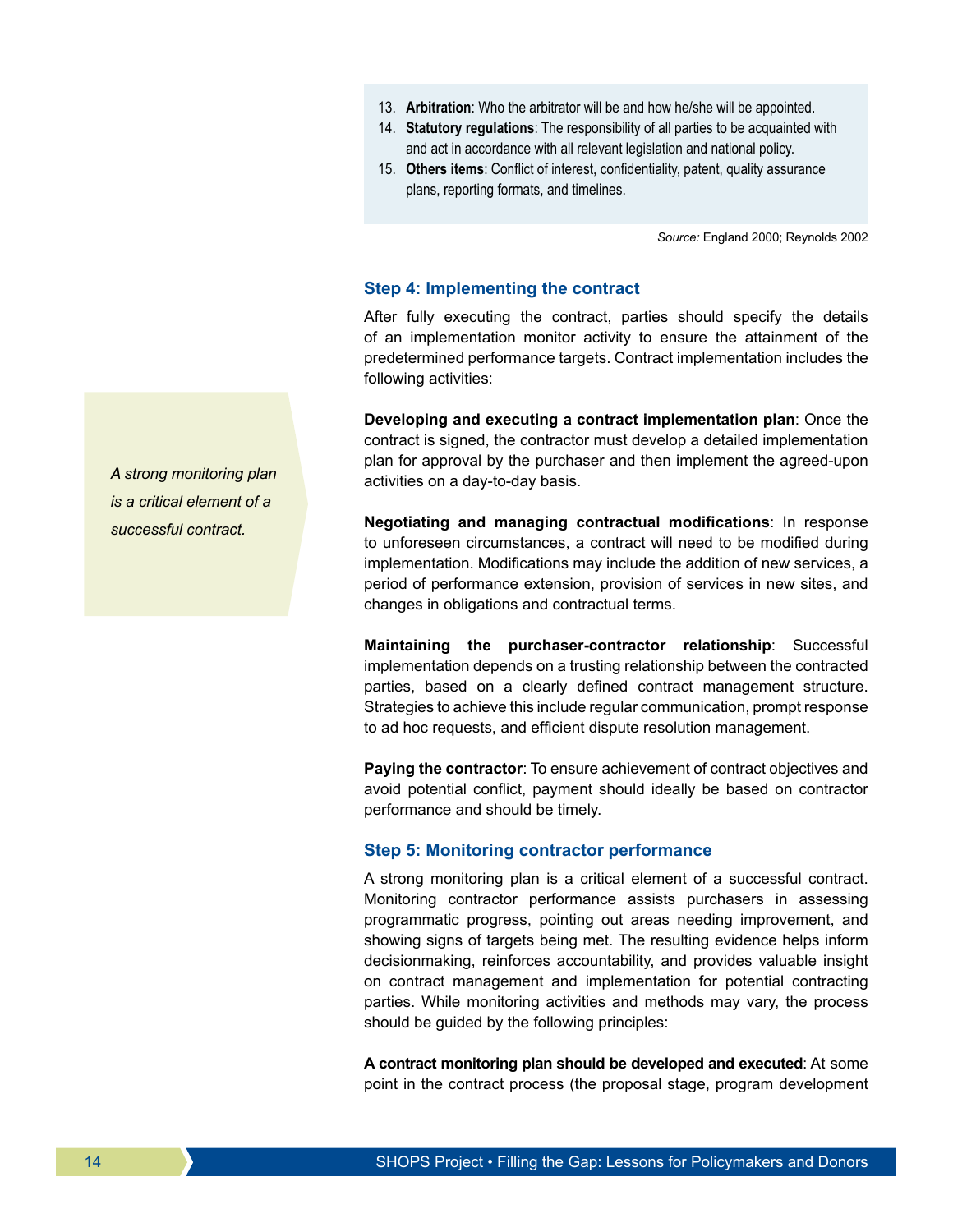- 13. **Arbitration**: Who the arbitrator will be and how he/she will be appointed.
- 14. **Statutory regulations**: The responsibility of all parties to be acquainted with and act in accordance with all relevant legislation and national policy.
- 15. **Others items**: Conflict of interest, confidentiality, patent, quality assurance plans, reporting formats, and timelines.

*Source:* England 2000; Reynolds 2002

#### **Step 4: Implementing the contract**

After fully executing the contract, parties should specify the details of an implementation monitor activity to ensure the attainment of the predetermined performance targets. Contract implementation includes the following activities:

**Developing and executing a contract implementation plan**: Once the contract is signed, the contractor must develop a detailed implementation plan for approval by the purchaser and then implement the agreed-upon activities on a day-to-day basis.

**Negotiating and managing contractual modifications**: In response to unforeseen circumstances, a contract will need to be modified during implementation. Modifications may include the addition of new services, a period of performance extension, provision of services in new sites, and changes in obligations and contractual terms.

**Maintaining the purchaser-contractor relationship**: Successful implementation depends on a trusting relationship between the contracted parties, based on a clearly defined contract management structure. Strategies to achieve this include regular communication, prompt response to ad hoc requests, and efficient dispute resolution management.

**Paying the contractor**: To ensure achievement of contract objectives and avoid potential conflict, payment should ideally be based on contractor performance and should be timely.

#### **Step 5: Monitoring contractor performance**

A strong monitoring plan is a critical element of a successful contract. Monitoring contractor performance assists purchasers in assessing programmatic progress, pointing out areas needing improvement, and showing signs of targets being met. The resulting evidence helps inform decisionmaking, reinforces accountability, and provides valuable insight on contract management and implementation for potential contracting parties. While monitoring activities and methods may vary, the process should be guided by the following principles:

**A contract monitoring plan should be developed and executed**: At some point in the contract process (the proposal stage, program development

*A strong monitoring plan is a critical element of a successful contract.*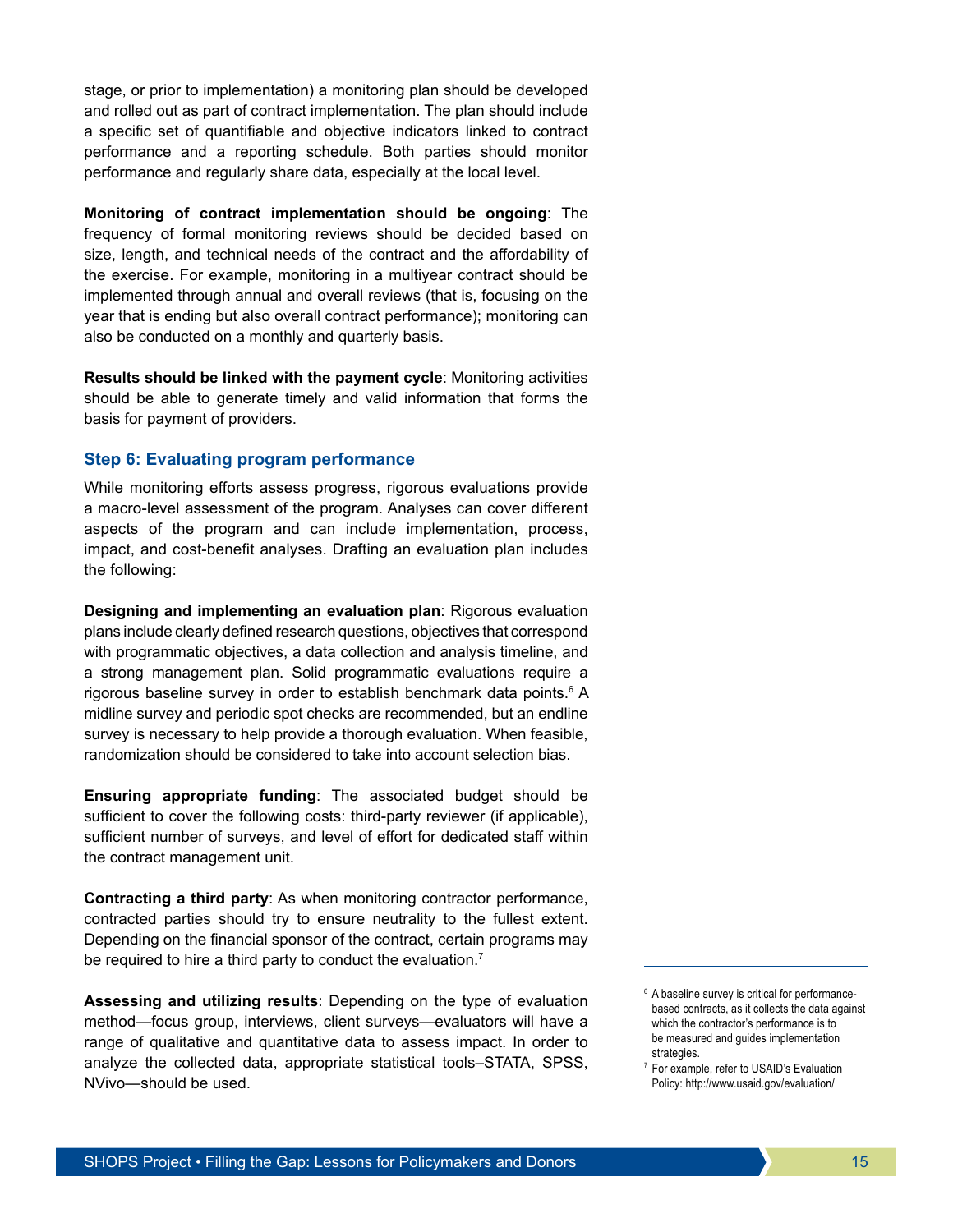stage, or prior to implementation) a monitoring plan should be developed and rolled out as part of contract implementation. The plan should include a specific set of quantifiable and objective indicators linked to contract performance and a reporting schedule. Both parties should monitor performance and regularly share data, especially at the local level.

**Monitoring of contract implementation should be ongoing**: The frequency of formal monitoring reviews should be decided based on size, length, and technical needs of the contract and the affordability of the exercise. For example, monitoring in a multiyear contract should be implemented through annual and overall reviews (that is, focusing on the year that is ending but also overall contract performance); monitoring can also be conducted on a monthly and quarterly basis.

**Results should be linked with the payment cycle**: Monitoring activities should be able to generate timely and valid information that forms the basis for payment of providers.

## **Step 6: Evaluating program performance**

While monitoring efforts assess progress, rigorous evaluations provide a macro-level assessment of the program. Analyses can cover different aspects of the program and can include implementation, process, impact, and cost-benefit analyses. Drafting an evaluation plan includes the following:

**Designing and implementing an evaluation plan**: Rigorous evaluation plans include clearly defined research questions, objectives that correspond with programmatic objectives, a data collection and analysis timeline, and a strong management plan. Solid programmatic evaluations require a rigorous baseline survey in order to establish benchmark data points.<sup>6</sup> A midline survey and periodic spot checks are recommended, but an endline survey is necessary to help provide a thorough evaluation. When feasible, randomization should be considered to take into account selection bias.

**Ensuring appropriate funding**: The associated budget should be sufficient to cover the following costs: third-party reviewer (if applicable), sufficient number of surveys, and level of effort for dedicated staff within the contract management unit.

**Contracting a third party**: As when monitoring contractor performance, contracted parties should try to ensure neutrality to the fullest extent. Depending on the financial sponsor of the contract, certain programs may be required to hire a third party to conduct the evaluation.<sup>7</sup>

**Assessing and utilizing results**: Depending on the type of evaluation method—focus group, interviews, client surveys—evaluators will have a range of qualitative and quantitative data to assess impact. In order to analyze the collected data, appropriate statistical tools–STATA, SPSS, NVivo—should be used.

<sup>&</sup>lt;sup>6</sup> A baseline survey is critical for performancebased contracts, as it collects the data against which the contractor's performance is to be measured and guides implementation strategies.

<sup>7</sup> For example, refer to USAID's Evaluation Policy: http://www.usaid.gov/evaluation/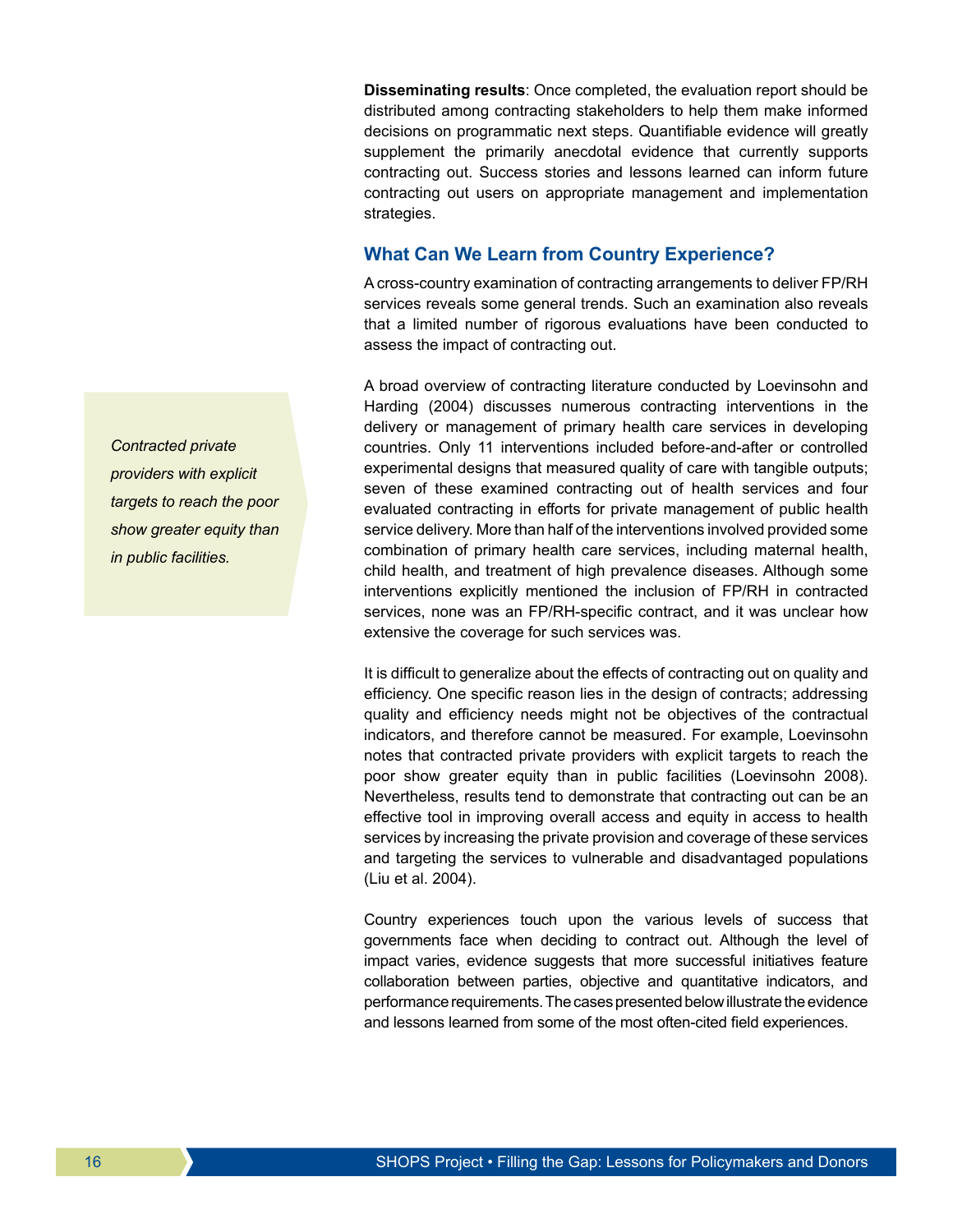**Disseminating results**: Once completed, the evaluation report should be distributed among contracting stakeholders to help them make informed decisions on programmatic next steps. Quantifiable evidence will greatly supplement the primarily anecdotal evidence that currently supports contracting out. Success stories and lessons learned can inform future contracting out users on appropriate management and implementation strategies.

## **What Can We Learn from Country Experience?**

A cross-country examination of contracting arrangements to deliver FP/RH services reveals some general trends. Such an examination also reveals that a limited number of rigorous evaluations have been conducted to assess the impact of contracting out.

A broad overview of contracting literature conducted by Loevinsohn and Harding (2004) discusses numerous contracting interventions in the delivery or management of primary health care services in developing countries. Only 11 interventions included before-and-after or controlled experimental designs that measured quality of care with tangible outputs; seven of these examined contracting out of health services and four evaluated contracting in efforts for private management of public health service delivery. More than half of the interventions involved provided some combination of primary health care services, including maternal health, child health, and treatment of high prevalence diseases. Although some interventions explicitly mentioned the inclusion of FP/RH in contracted services, none was an FP/RH-specific contract, and it was unclear how extensive the coverage for such services was.

It is difficult to generalize about the effects of contracting out on quality and efficiency. One specific reason lies in the design of contracts; addressing quality and efficiency needs might not be objectives of the contractual indicators, and therefore cannot be measured. For example, Loevinsohn notes that contracted private providers with explicit targets to reach the poor show greater equity than in public facilities (Loevinsohn 2008). Nevertheless, results tend to demonstrate that contracting out can be an effective tool in improving overall access and equity in access to health services by increasing the private provision and coverage of these services and targeting the services to vulnerable and disadvantaged populations (Liu et al. 2004).

Country experiences touch upon the various levels of success that governments face when deciding to contract out. Although the level of impact varies, evidence suggests that more successful initiatives feature collaboration between parties, objective and quantitative indicators, and performance requirements. The cases presented below illustrate the evidence and lessons learned from some of the most often-cited field experiences.

*Contracted private providers with explicit targets to reach the poor show greater equity than in public facilities.*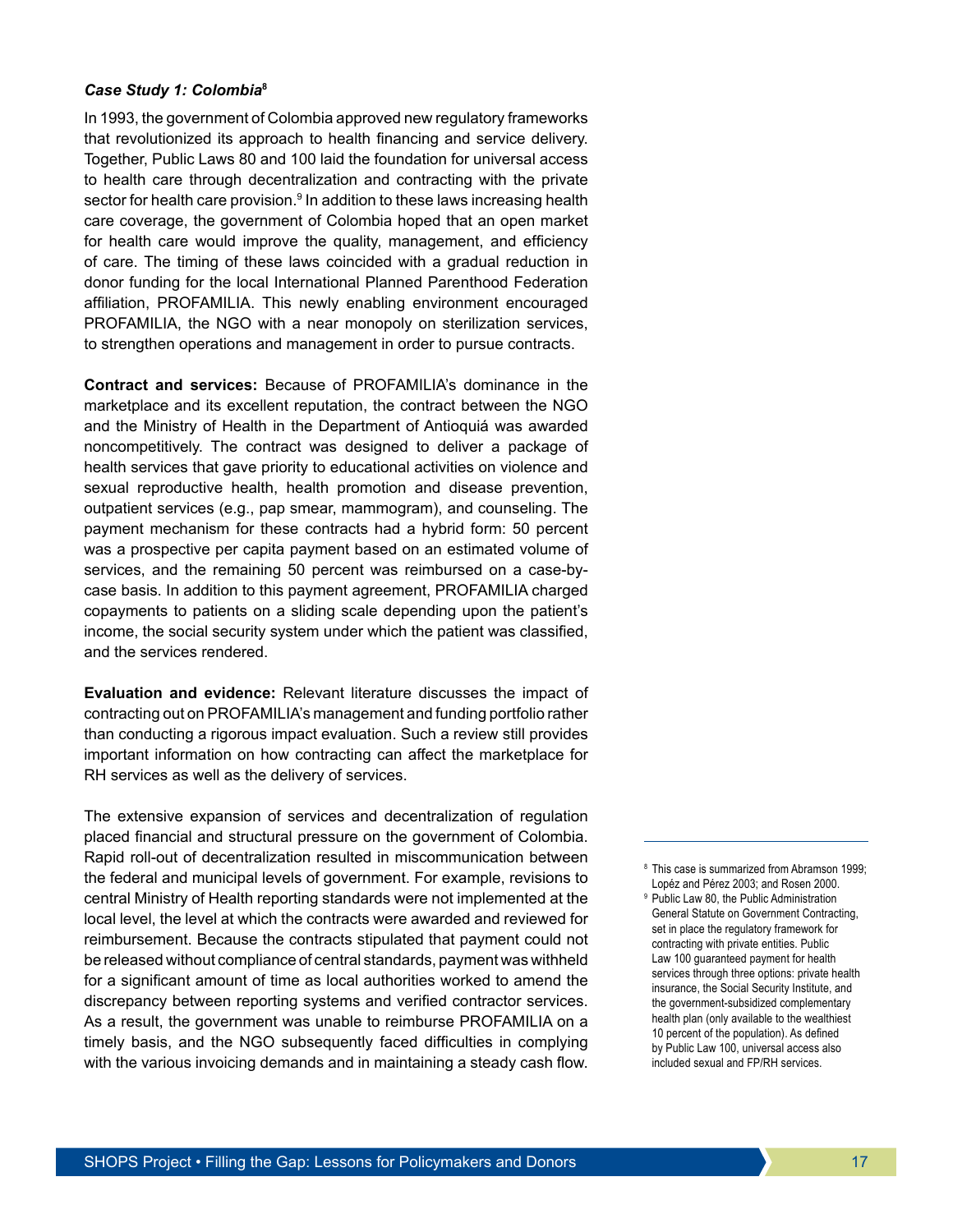#### *Case Study 1: Colombia***<sup>8</sup>**

In 1993, the government of Colombia approved new regulatory frameworks that revolutionized its approach to health financing and service delivery. Together, Public Laws 80 and 100 laid the foundation for universal access to health care through decentralization and contracting with the private sector for health care provision.<sup>9</sup> In addition to these laws increasing health care coverage, the government of Colombia hoped that an open market for health care would improve the quality, management, and efficiency of care. The timing of these laws coincided with a gradual reduction in donor funding for the local International Planned Parenthood Federation affiliation, PROFAMILIA. This newly enabling environment encouraged PROFAMILIA, the NGO with a near monopoly on sterilization services, to strengthen operations and management in order to pursue contracts.

**Contract and services:** Because of PROFAMILIA's dominance in the marketplace and its excellent reputation, the contract between the NGO and the Ministry of Health in the Department of Antioquiá was awarded noncompetitively. The contract was designed to deliver a package of health services that gave priority to educational activities on violence and sexual reproductive health, health promotion and disease prevention, outpatient services (e.g., pap smear, mammogram), and counseling. The payment mechanism for these contracts had a hybrid form: 50 percent was a prospective per capita payment based on an estimated volume of services, and the remaining 50 percent was reimbursed on a case-bycase basis. In addition to this payment agreement, PROFAMILIA charged copayments to patients on a sliding scale depending upon the patient's income, the social security system under which the patient was classified, and the services rendered.

**Evaluation and evidence:** Relevant literature discusses the impact of contracting out on PROFAMILIA's management and funding portfolio rather than conducting a rigorous impact evaluation. Such a review still provides important information on how contracting can affect the marketplace for RH services as well as the delivery of services.

The extensive expansion of services and decentralization of regulation placed financial and structural pressure on the government of Colombia. Rapid roll-out of decentralization resulted in miscommunication between the federal and municipal levels of government. For example, revisions to central Ministry of Health reporting standards were not implemented at the local level, the level at which the contracts were awarded and reviewed for reimbursement. Because the contracts stipulated that payment could not be released without compliance of central standards, payment was withheld for a significant amount of time as local authorities worked to amend the discrepancy between reporting systems and verified contractor services. As a result, the government was unable to reimburse PROFAMILIA on a timely basis, and the NGO subsequently faced difficulties in complying with the various invoicing demands and in maintaining a steady cash flow.

<sup>8</sup> This case is summarized from Abramson 1999; Lopéz and Pérez 2003; and Rosen 2000.

<sup>&</sup>lt;sup>9</sup> Public Law 80, the Public Administration General Statute on Government Contracting, set in place the regulatory framework for contracting with private entities. Public Law 100 guaranteed payment for health services through three options: private health insurance, the Social Security Institute, and the government-subsidized complementary health plan (only available to the wealthiest 10 percent of the population). As defined by Public Law 100, universal access also included sexual and FP/RH services.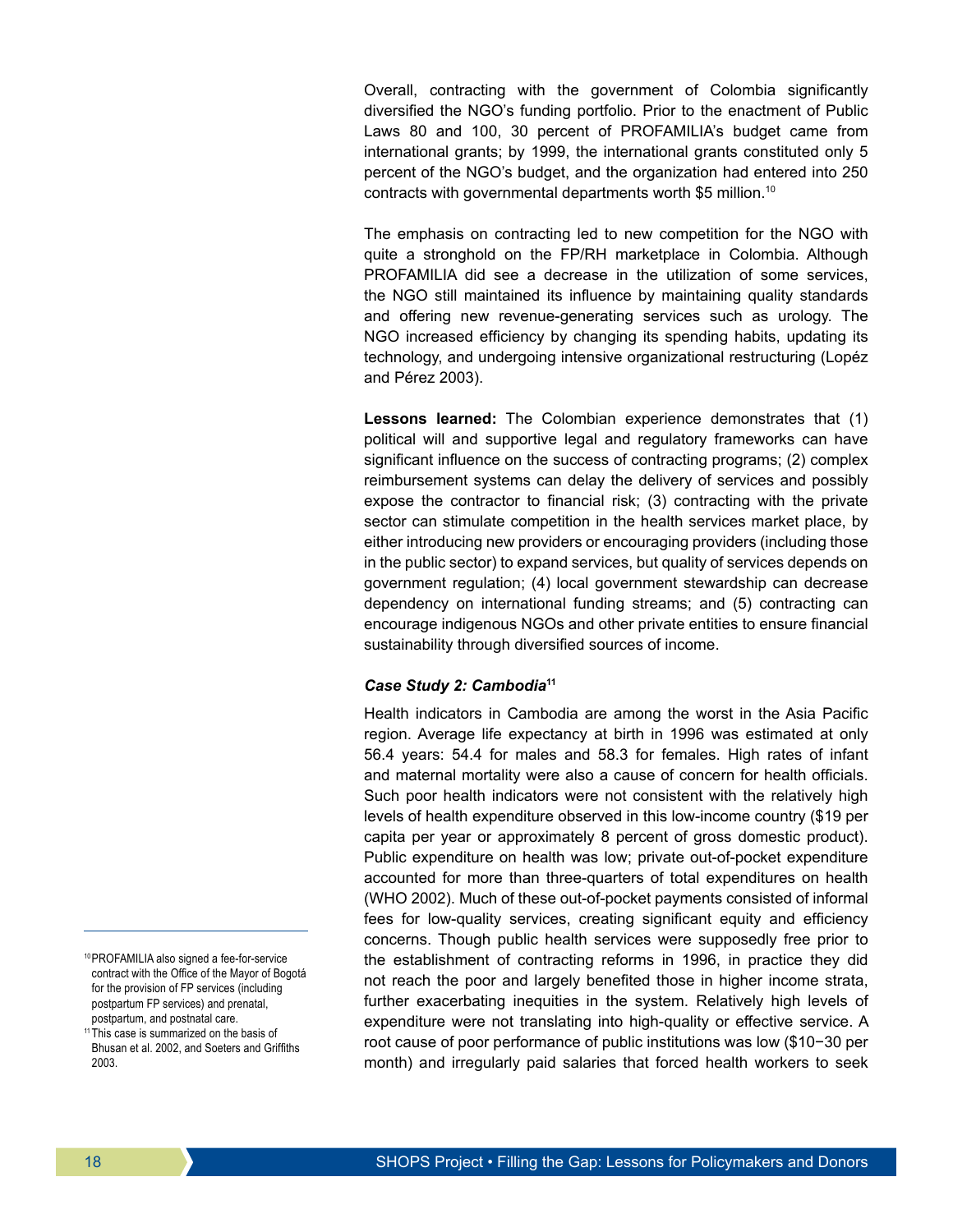Overall, contracting with the government of Colombia significantly diversified the NGO's funding portfolio. Prior to the enactment of Public Laws 80 and 100, 30 percent of PROFAMILIA's budget came from international grants; by 1999, the international grants constituted only 5 percent of the NGO's budget, and the organization had entered into 250 contracts with governmental departments worth \$5 million.<sup>10</sup>

The emphasis on contracting led to new competition for the NGO with quite a stronghold on the FP/RH marketplace in Colombia. Although PROFAMILIA did see a decrease in the utilization of some services, the NGO still maintained its influence by maintaining quality standards and offering new revenue-generating services such as urology. The NGO increased efficiency by changing its spending habits, updating its technology, and undergoing intensive organizational restructuring (Lopéz and Pérez 2003).

**Lessons learned:** The Colombian experience demonstrates that (1) political will and supportive legal and regulatory frameworks can have significant influence on the success of contracting programs; (2) complex reimbursement systems can delay the delivery of services and possibly expose the contractor to financial risk; (3) contracting with the private sector can stimulate competition in the health services market place, by either introducing new providers or encouraging providers (including those in the public sector) to expand services, but quality of services depends on government regulation; (4) local government stewardship can decrease dependency on international funding streams; and (5) contracting can encourage indigenous NGOs and other private entities to ensure financial sustainability through diversified sources of income.

#### *Case Study 2: Cambodia***<sup>11</sup>**

Health indicators in Cambodia are among the worst in the Asia Pacific region. Average life expectancy at birth in 1996 was estimated at only 56.4 years: 54.4 for males and 58.3 for females. High rates of infant and maternal mortality were also a cause of concern for health officials. Such poor health indicators were not consistent with the relatively high levels of health expenditure observed in this low-income country (\$19 per capita per year or approximately 8 percent of gross domestic product). Public expenditure on health was low; private out-of-pocket expenditure accounted for more than three-quarters of total expenditures on health (WHO 2002). Much of these out-of-pocket payments consisted of informal fees for low-quality services, creating significant equity and efficiency concerns. Though public health services were supposedly free prior to the establishment of contracting reforms in 1996, in practice they did not reach the poor and largely benefited those in higher income strata, further exacerbating inequities in the system. Relatively high levels of expenditure were not translating into high-quality or effective service. A root cause of poor performance of public institutions was low (\$10−30 per month) and irregularly paid salaries that forced health workers to seek

<sup>10</sup>PROFAMILIA also signed a fee-for-service contract with the Office of the Mayor of Bogotá for the provision of FP services (including postpartum FP services) and prenatal, postpartum, and postnatal care.

<sup>&</sup>lt;sup>11</sup>This case is summarized on the basis of Bhusan et al. 2002, and Soeters and Griffiths 2003.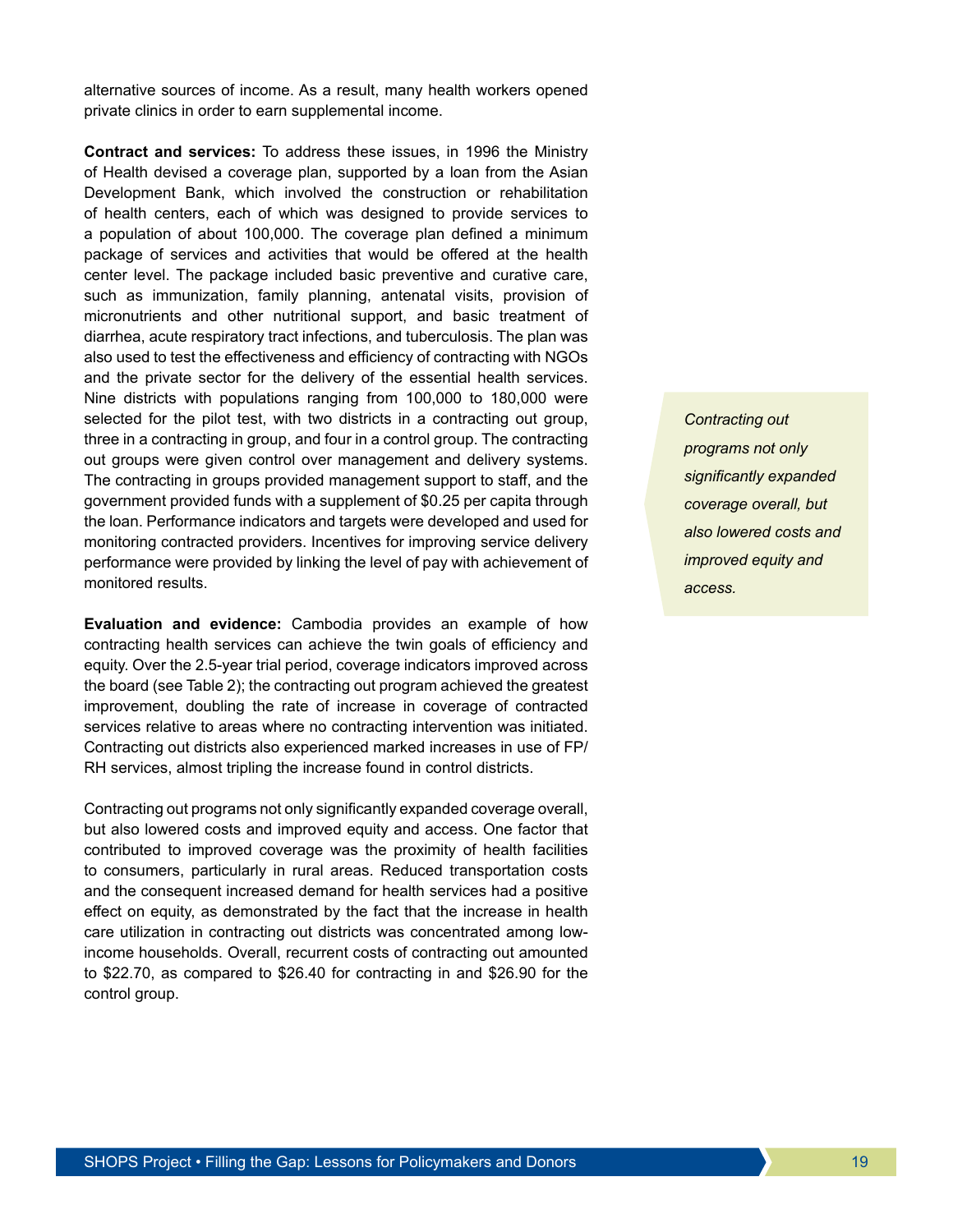alternative sources of income. As a result, many health workers opened private clinics in order to earn supplemental income.

**Contract and services:** To address these issues, in 1996 the Ministry of Health devised a coverage plan, supported by a loan from the Asian Development Bank, which involved the construction or rehabilitation of health centers, each of which was designed to provide services to a population of about 100,000. The coverage plan defined a minimum package of services and activities that would be offered at the health center level. The package included basic preventive and curative care, such as immunization, family planning, antenatal visits, provision of micronutrients and other nutritional support, and basic treatment of diarrhea, acute respiratory tract infections, and tuberculosis. The plan was also used to test the effectiveness and efficiency of contracting with NGOs and the private sector for the delivery of the essential health services. Nine districts with populations ranging from 100,000 to 180,000 were selected for the pilot test, with two districts in a contracting out group, three in a contracting in group, and four in a control group. The contracting out groups were given control over management and delivery systems. The contracting in groups provided management support to staff, and the government provided funds with a supplement of \$0.25 per capita through the loan. Performance indicators and targets were developed and used for monitoring contracted providers. Incentives for improving service delivery performance were provided by linking the level of pay with achievement of monitored results.

**Evaluation and evidence:** Cambodia provides an example of how contracting health services can achieve the twin goals of efficiency and equity. Over the 2.5-year trial period, coverage indicators improved across the board (see Table 2); the contracting out program achieved the greatest improvement, doubling the rate of increase in coverage of contracted services relative to areas where no contracting intervention was initiated. Contracting out districts also experienced marked increases in use of FP/ RH services, almost tripling the increase found in control districts.

Contracting out programs not only significantly expanded coverage overall, but also lowered costs and improved equity and access. One factor that contributed to improved coverage was the proximity of health facilities to consumers, particularly in rural areas. Reduced transportation costs and the consequent increased demand for health services had a positive effect on equity, as demonstrated by the fact that the increase in health care utilization in contracting out districts was concentrated among lowincome households. Overall, recurrent costs of contracting out amounted to \$22.70, as compared to \$26.40 for contracting in and \$26.90 for the control group.

*Contracting out programs not only significantly expanded coverage overall, but also lowered costs and improved equity and access.*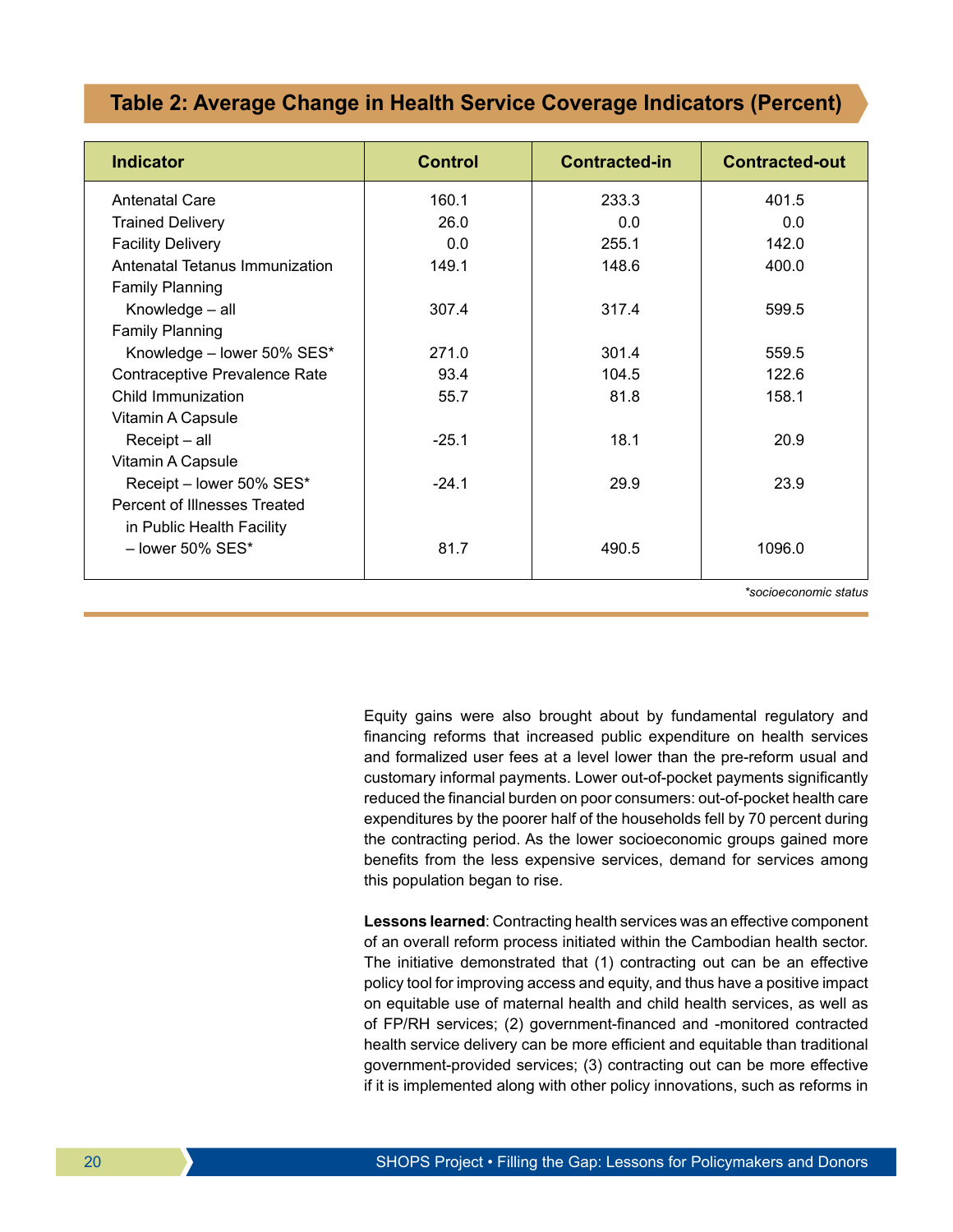## **Table 2: Average Change in Health Service Coverage Indicators (Percent)**

| <b>Indicator</b>               | <b>Control</b> | <b>Contracted-in</b> | <b>Contracted-out</b> |
|--------------------------------|----------------|----------------------|-----------------------|
| <b>Antenatal Care</b>          | 160.1          | 233.3                | 401.5                 |
| <b>Trained Delivery</b>        | 26.0           | 0.0                  | 0.0                   |
| <b>Facility Delivery</b>       | 0.0            | 255.1                | 142.0                 |
| Antenatal Tetanus Immunization | 149.1          | 148.6                | 400.0                 |
| <b>Family Planning</b>         |                |                      |                       |
| Knowledge - all                | 307.4          | 317.4                | 599.5                 |
| <b>Family Planning</b>         |                |                      |                       |
| Knowledge - lower 50% SES*     | 271.0          | 301.4                | 559.5                 |
| Contraceptive Prevalence Rate  | 93.4           | 104.5                | 122.6                 |
| Child Immunization             | 55.7           | 81.8                 | 158.1                 |
| Vitamin A Capsule              |                |                      |                       |
| Receipt - all                  | $-25.1$        | 18.1                 | 20.9                  |
| Vitamin A Capsule              |                |                      |                       |
| Receipt - lower 50% SES*       | $-24.1$        | 29.9                 | 23.9                  |
| Percent of Illnesses Treated   |                |                      |                       |
| in Public Health Facility      |                |                      |                       |
| $-$ lower 50% SES*             | 81.7           | 490.5                | 1096.0                |
|                                |                |                      |                       |

*\*socioeconomic status*

Equity gains were also brought about by fundamental regulatory and financing reforms that increased public expenditure on health services and formalized user fees at a level lower than the pre-reform usual and customary informal payments. Lower out-of-pocket payments significantly reduced the financial burden on poor consumers: out-of-pocket health care expenditures by the poorer half of the households fell by 70 percent during the contracting period. As the lower socioeconomic groups gained more benefits from the less expensive services, demand for services among this population began to rise.

**Lessons learned**: Contracting health services was an effective component of an overall reform process initiated within the Cambodian health sector. The initiative demonstrated that (1) contracting out can be an effective policy tool for improving access and equity, and thus have a positive impact on equitable use of maternal health and child health services, as well as of FP/RH services; (2) government-financed and -monitored contracted health service delivery can be more efficient and equitable than traditional government-provided services; (3) contracting out can be more effective if it is implemented along with other policy innovations, such as reforms in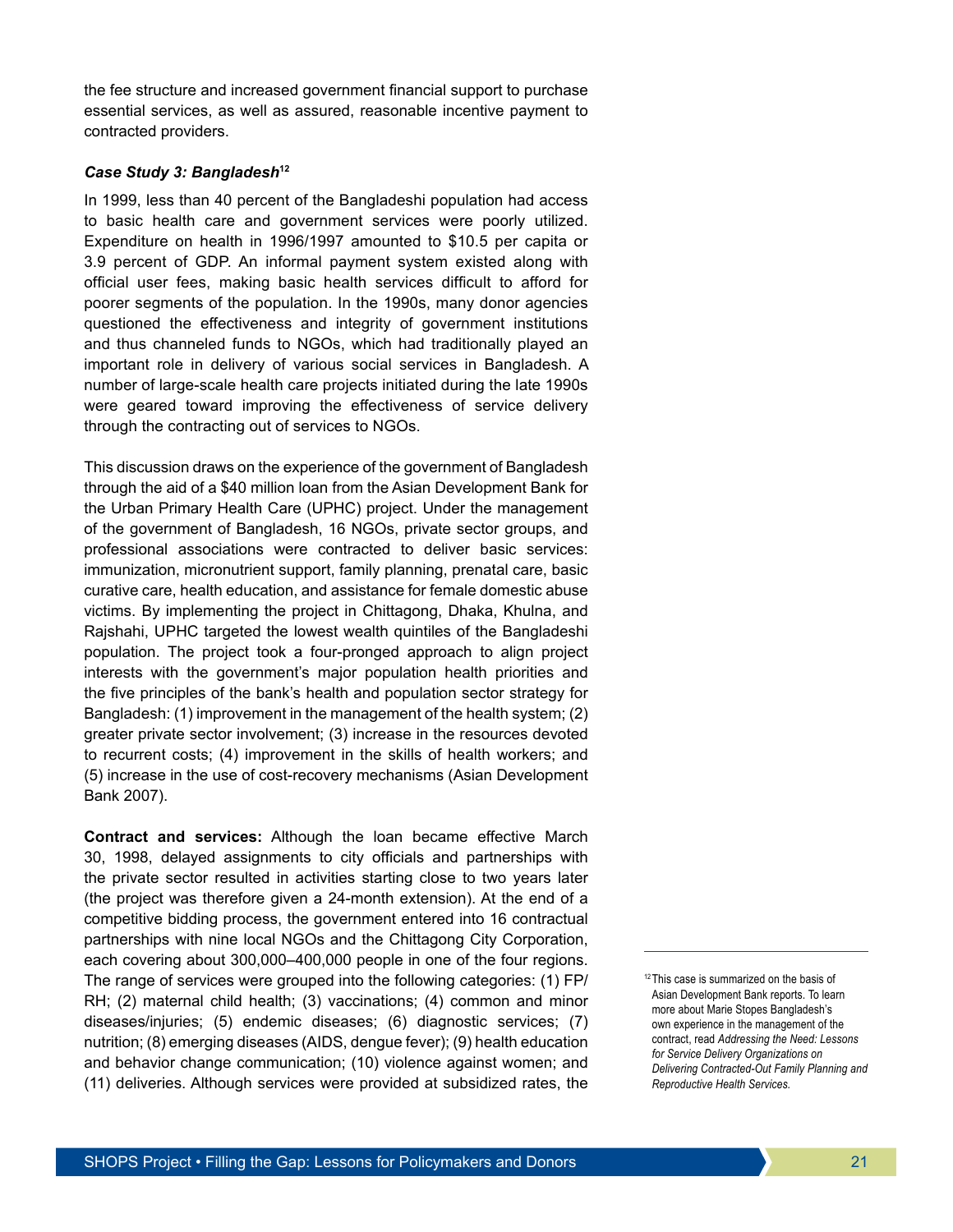the fee structure and increased government financial support to purchase essential services, as well as assured, reasonable incentive payment to contracted providers.

#### *Case Study 3: Bangladesh***<sup>12</sup>**

In 1999, less than 40 percent of the Bangladeshi population had access to basic health care and government services were poorly utilized. Expenditure on health in 1996/1997 amounted to \$10.5 per capita or 3.9 percent of GDP. An informal payment system existed along with official user fees, making basic health services difficult to afford for poorer segments of the population. In the 1990s, many donor agencies questioned the effectiveness and integrity of government institutions and thus channeled funds to NGOs, which had traditionally played an important role in delivery of various social services in Bangladesh. A number of large-scale health care projects initiated during the late 1990s were geared toward improving the effectiveness of service delivery through the contracting out of services to NGOs.

This discussion draws on the experience of the government of Bangladesh through the aid of a \$40 million loan from the Asian Development Bank for the Urban Primary Health Care (UPHC) project. Under the management of the government of Bangladesh, 16 NGOs, private sector groups, and professional associations were contracted to deliver basic services: immunization, micronutrient support, family planning, prenatal care, basic curative care, health education, and assistance for female domestic abuse victims. By implementing the project in Chittagong, Dhaka, Khulna, and Rajshahi, UPHC targeted the lowest wealth quintiles of the Bangladeshi population. The project took a four-pronged approach to align project interests with the government's major population health priorities and the five principles of the bank's health and population sector strategy for Bangladesh: (1) improvement in the management of the health system; (2) greater private sector involvement; (3) increase in the resources devoted to recurrent costs; (4) improvement in the skills of health workers; and (5) increase in the use of cost-recovery mechanisms (Asian Development Bank 2007).

**Contract and services:** Although the loan became effective March 30, 1998, delayed assignments to city officials and partnerships with the private sector resulted in activities starting close to two years later (the project was therefore given a 24-month extension). At the end of a competitive bidding process, the government entered into 16 contractual partnerships with nine local NGOs and the Chittagong City Corporation, each covering about 300,000–400,000 people in one of the four regions. The range of services were grouped into the following categories: (1) FP/ RH; (2) maternal child health; (3) vaccinations; (4) common and minor diseases/injuries; (5) endemic diseases; (6) diagnostic services; (7) nutrition; (8) emerging diseases (AIDS, dengue fever); (9) health education and behavior change communication; (10) violence against women; and (11) deliveries. Although services were provided at subsidized rates, the

<sup>&</sup>lt;sup>12</sup>This case is summarized on the basis of Asian Development Bank reports. To learn more about Marie Stopes Bangladesh's own experience in the management of the contract, read *Addressing the Need: Lessons for Service Delivery Organizations on Delivering Contracted-Out Family Planning and Reproductive Health Services.*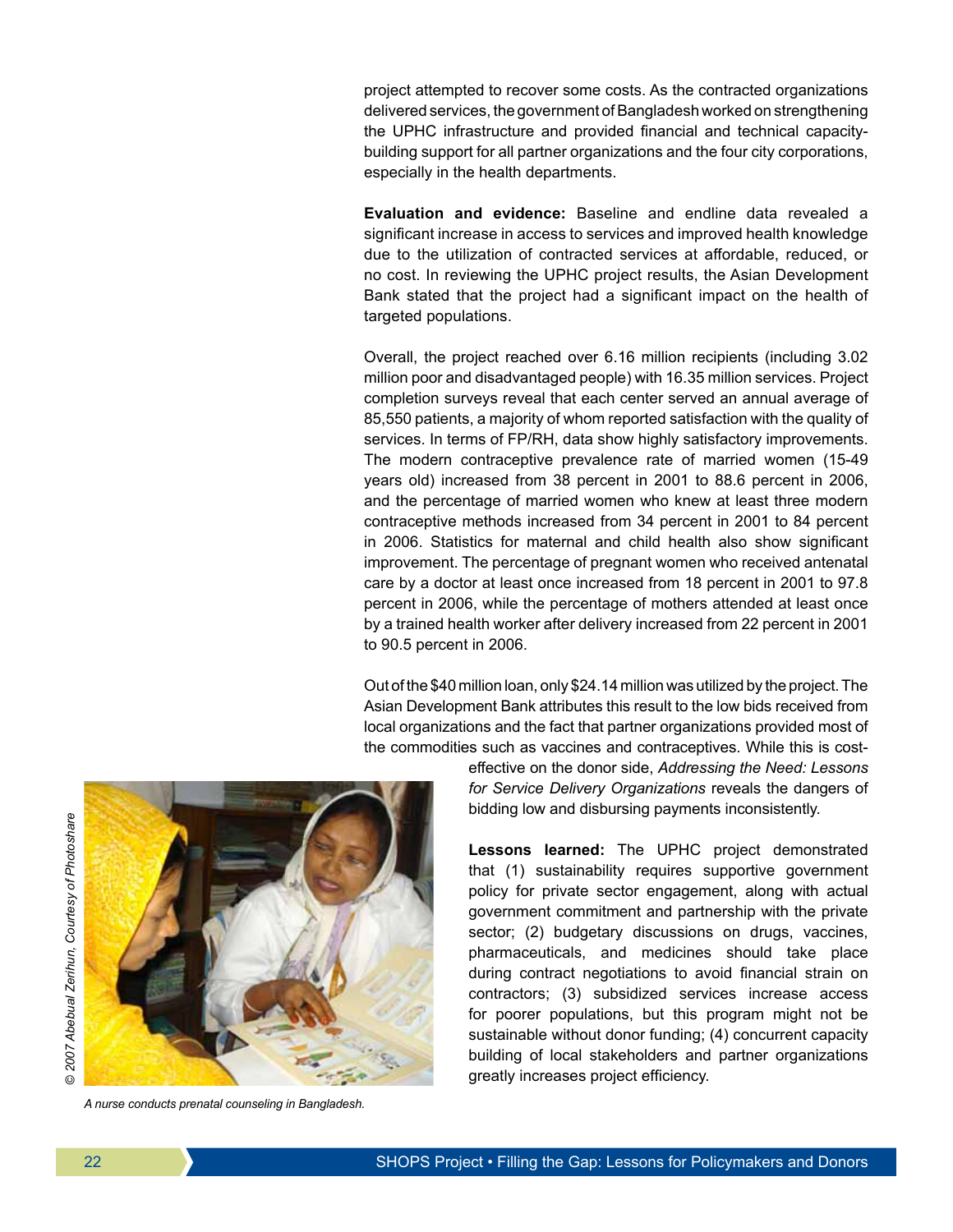project attempted to recover some costs. As the contracted organizations delivered services, the government of Bangladesh worked on strengthening the UPHC infrastructure and provided financial and technical capacitybuilding support for all partner organizations and the four city corporations, especially in the health departments.

**Evaluation and evidence:** Baseline and endline data revealed a significant increase in access to services and improved health knowledge due to the utilization of contracted services at affordable, reduced, or no cost. In reviewing the UPHC project results, the Asian Development Bank stated that the project had a significant impact on the health of targeted populations.

Overall, the project reached over 6.16 million recipients (including 3.02 million poor and disadvantaged people) with 16.35 million services. Project completion surveys reveal that each center served an annual average of 85,550 patients, a majority of whom reported satisfaction with the quality of services. In terms of FP/RH, data show highly satisfactory improvements. The modern contraceptive prevalence rate of married women (15-49 years old) increased from 38 percent in 2001 to 88.6 percent in 2006, and the percentage of married women who knew at least three modern contraceptive methods increased from 34 percent in 2001 to 84 percent in 2006. Statistics for maternal and child health also show significant improvement. The percentage of pregnant women who received antenatal care by a doctor at least once increased from 18 percent in 2001 to 97.8 percent in 2006, while the percentage of mothers attended at least once by a trained health worker after delivery increased from 22 percent in 2001 to 90.5 percent in 2006.

Out of the \$40 million loan, only \$24.14 million was utilized by the project. The Asian Development Bank attributes this result to the low bids received from local organizations and the fact that partner organizations provided most of the commodities such as vaccines and contraceptives. While this is cost-



*A nurse conducts prenatal counseling in Bangladesh.*

effective on the donor side, *Addressing the Need: Lessons for Service Delivery Organizations* reveals the dangers of bidding low and disbursing payments inconsistently.

**Lessons learned:** The UPHC project demonstrated that (1) sustainability requires supportive government policy for private sector engagement, along with actual government commitment and partnership with the private sector; (2) budgetary discussions on drugs, vaccines, pharmaceuticals, and medicines should take place during contract negotiations to avoid financial strain on contractors; (3) subsidized services increase access for poorer populations, but this program might not be sustainable without donor funding; (4) concurrent capacity building of local stakeholders and partner organizations greatly increases project efficiency.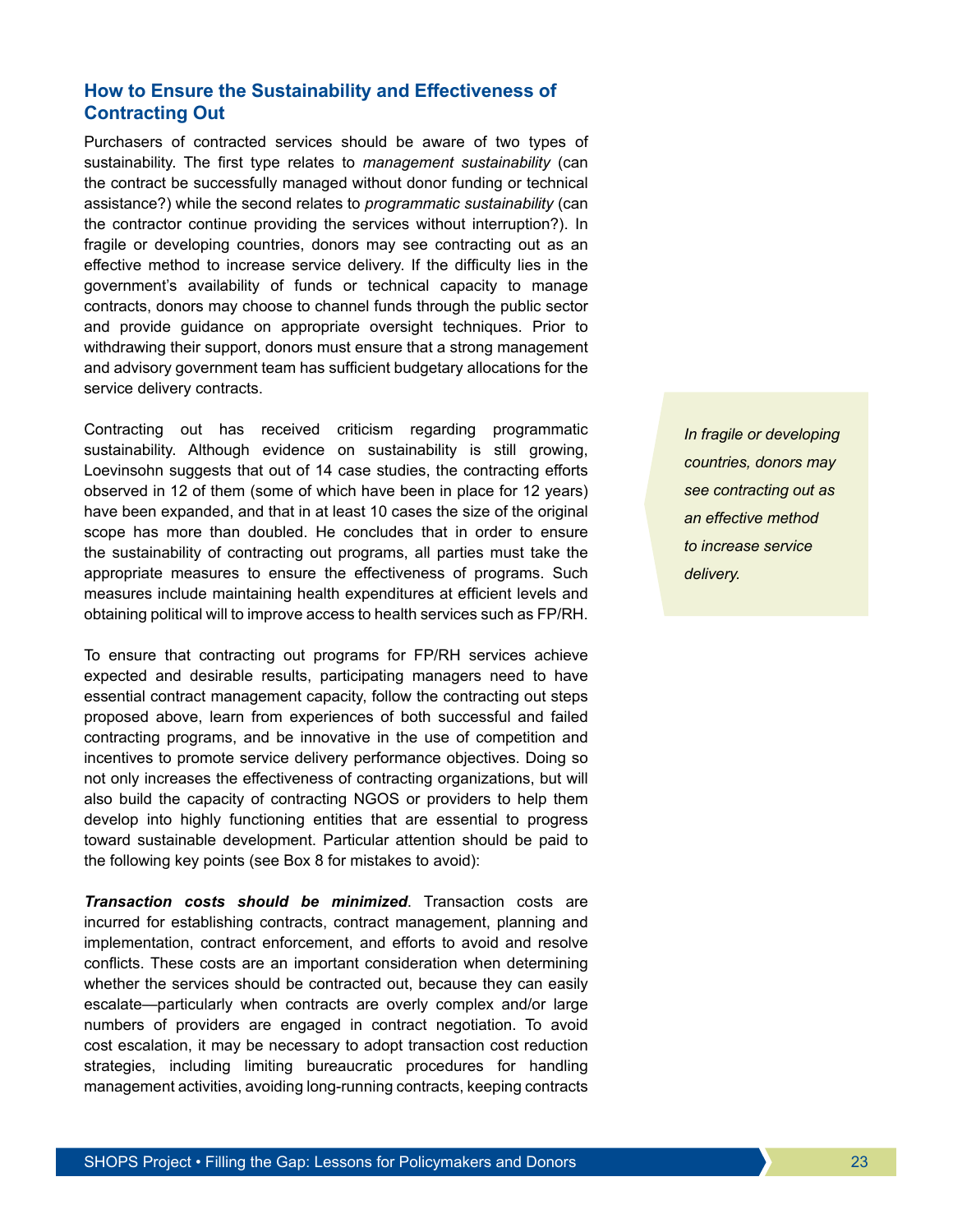## **How to Ensure the Sustainability and Effectiveness of Contracting Out**

Purchasers of contracted services should be aware of two types of sustainability. The first type relates to *management sustainability* (can the contract be successfully managed without donor funding or technical assistance?) while the second relates to *programmatic sustainability* (can the contractor continue providing the services without interruption?). In fragile or developing countries, donors may see contracting out as an effective method to increase service delivery. If the difficulty lies in the government's availability of funds or technical capacity to manage contracts, donors may choose to channel funds through the public sector and provide guidance on appropriate oversight techniques. Prior to withdrawing their support, donors must ensure that a strong management and advisory government team has sufficient budgetary allocations for the service delivery contracts.

Contracting out has received criticism regarding programmatic sustainability. Although evidence on sustainability is still growing, Loevinsohn suggests that out of 14 case studies, the contracting efforts observed in 12 of them (some of which have been in place for 12 years) have been expanded, and that in at least 10 cases the size of the original scope has more than doubled. He concludes that in order to ensure the sustainability of contracting out programs, all parties must take the appropriate measures to ensure the effectiveness of programs. Such measures include maintaining health expenditures at efficient levels and obtaining political will to improve access to health services such as FP/RH.

To ensure that contracting out programs for FP/RH services achieve expected and desirable results, participating managers need to have essential contract management capacity, follow the contracting out steps proposed above, learn from experiences of both successful and failed contracting programs, and be innovative in the use of competition and incentives to promote service delivery performance objectives. Doing so not only increases the effectiveness of contracting organizations, but will also build the capacity of contracting NGOS or providers to help them develop into highly functioning entities that are essential to progress toward sustainable development. Particular attention should be paid to the following key points (see Box 8 for mistakes to avoid):

*Transaction costs should be minimized*. Transaction costs are incurred for establishing contracts, contract management, planning and implementation, contract enforcement, and efforts to avoid and resolve conflicts. These costs are an important consideration when determining whether the services should be contracted out, because they can easily escalate—particularly when contracts are overly complex and/or large numbers of providers are engaged in contract negotiation. To avoid cost escalation, it may be necessary to adopt transaction cost reduction strategies, including limiting bureaucratic procedures for handling management activities, avoiding long-running contracts, keeping contracts *In fragile or developing countries, donors may see contracting out as an effective method to increase service delivery.*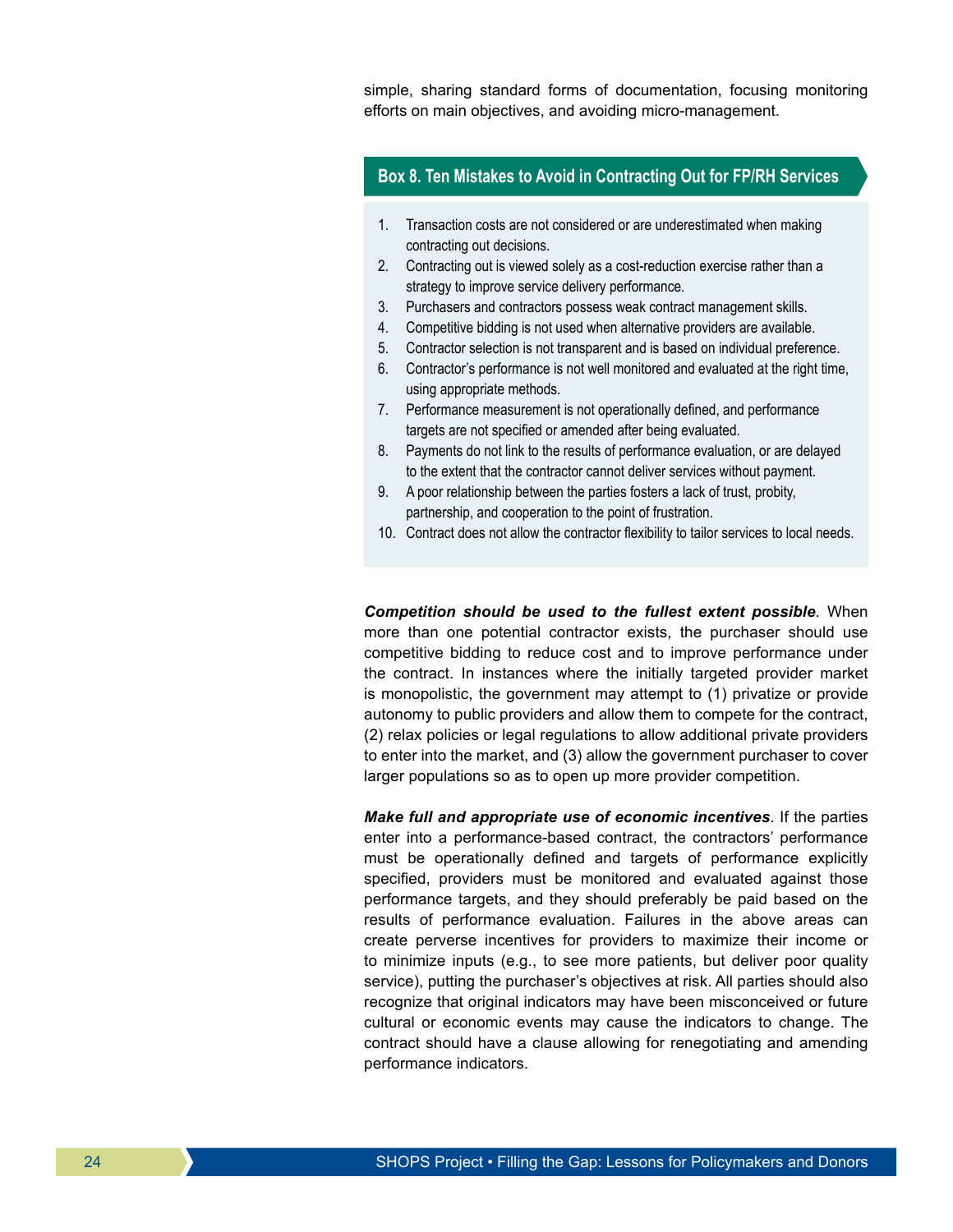simple, sharing standard forms of documentation, focusing monitoring efforts on main objectives, and avoiding micro-management.

## **Box 8. Ten Mistakes to Avoid in Contracting Out for FP/RH Services**

- 1. Transaction costs are not considered or are underestimated when making contracting out decisions.
- 2. Contracting out is viewed solely as a cost-reduction exercise rather than a strategy to improve service delivery performance.
- 3. Purchasers and contractors possess weak contract management skills.
- 4. Competitive bidding is not used when alternative providers are available.
- 5. Contractor selection is not transparent and is based on individual preference.
- 6. Contractor's performance is not well monitored and evaluated at the right time, using appropriate methods.
- 7. Performance measurement is not operationally defined, and performance targets are not specified or amended after being evaluated.
- 8. Payments do not link to the results of performance evaluation, or are delayed to the extent that the contractor cannot deliver services without payment.
- 9. A poor relationship between the parties fosters a lack of trust, probity, partnership, and cooperation to the point of frustration.
- 10. Contract does not allow the contractor flexibility to tailor services to local needs.

*Competition should be used to the fullest extent possible*. When more than one potential contractor exists, the purchaser should use competitive bidding to reduce cost and to improve performance under the contract. In instances where the initially targeted provider market is monopolistic, the government may attempt to (1) privatize or provide autonomy to public providers and allow them to compete for the contract, (2) relax policies or legal regulations to allow additional private providers to enter into the market, and (3) allow the government purchaser to cover larger populations so as to open up more provider competition.

*Make full and appropriate use of economic incentives*. If the parties enter into a performance-based contract, the contractors' performance must be operationally defined and targets of performance explicitly specified, providers must be monitored and evaluated against those performance targets, and they should preferably be paid based on the results of performance evaluation. Failures in the above areas can create perverse incentives for providers to maximize their income or to minimize inputs (e.g., to see more patients, but deliver poor quality service), putting the purchaser's objectives at risk. All parties should also recognize that original indicators may have been misconceived or future cultural or economic events may cause the indicators to change. The contract should have a clause allowing for renegotiating and amending performance indicators.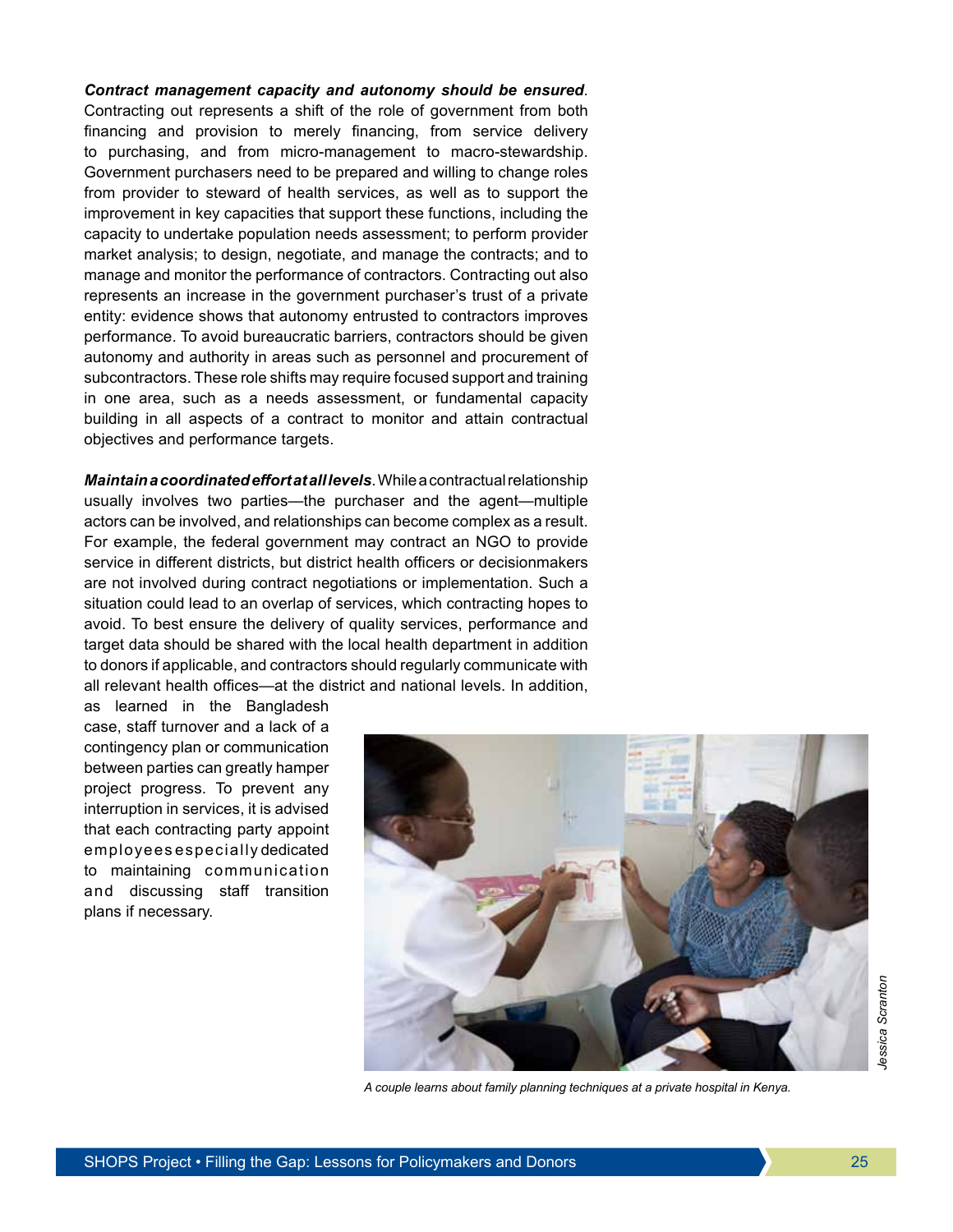*Contract management capacity and autonomy should be ensured*. Contracting out represents a shift of the role of government from both financing and provision to merely financing, from service delivery to purchasing, and from micro-management to macro-stewardship. Government purchasers need to be prepared and willing to change roles from provider to steward of health services, as well as to support the improvement in key capacities that support these functions, including the capacity to undertake population needs assessment; to perform provider market analysis; to design, negotiate, and manage the contracts; and to manage and monitor the performance of contractors. Contracting out also represents an increase in the government purchaser's trust of a private entity: evidence shows that autonomy entrusted to contractors improves performance. To avoid bureaucratic barriers, contractors should be given autonomy and authority in areas such as personnel and procurement of subcontractors. These role shifts may require focused support and training in one area, such as a needs assessment, or fundamental capacity building in all aspects of a contract to monitor and attain contractual objectives and performance targets.

*Maintain a coordinated effort at all levels*. While a contractual relationship usually involves two parties—the purchaser and the agent—multiple actors can be involved, and relationships can become complex as a result. For example, the federal government may contract an NGO to provide service in different districts, but district health officers or decisionmakers are not involved during contract negotiations or implementation. Such a situation could lead to an overlap of services, which contracting hopes to avoid. To best ensure the delivery of quality services, performance and target data should be shared with the local health department in addition to donors if applicable, and contractors should regularly communicate with all relevant health offices—at the district and national levels. In addition,

as learned in the Bangladesh case, staff turnover and a lack of a contingency plan or communication between parties can greatly hamper project progress. To prevent any interruption in services, it is advised that each contracting party appoint employees especially dedicated to maintaining communication and discussing staff transition plans if necessary.



*A couple learns about family planning techniques at a private hospital in Kenya.*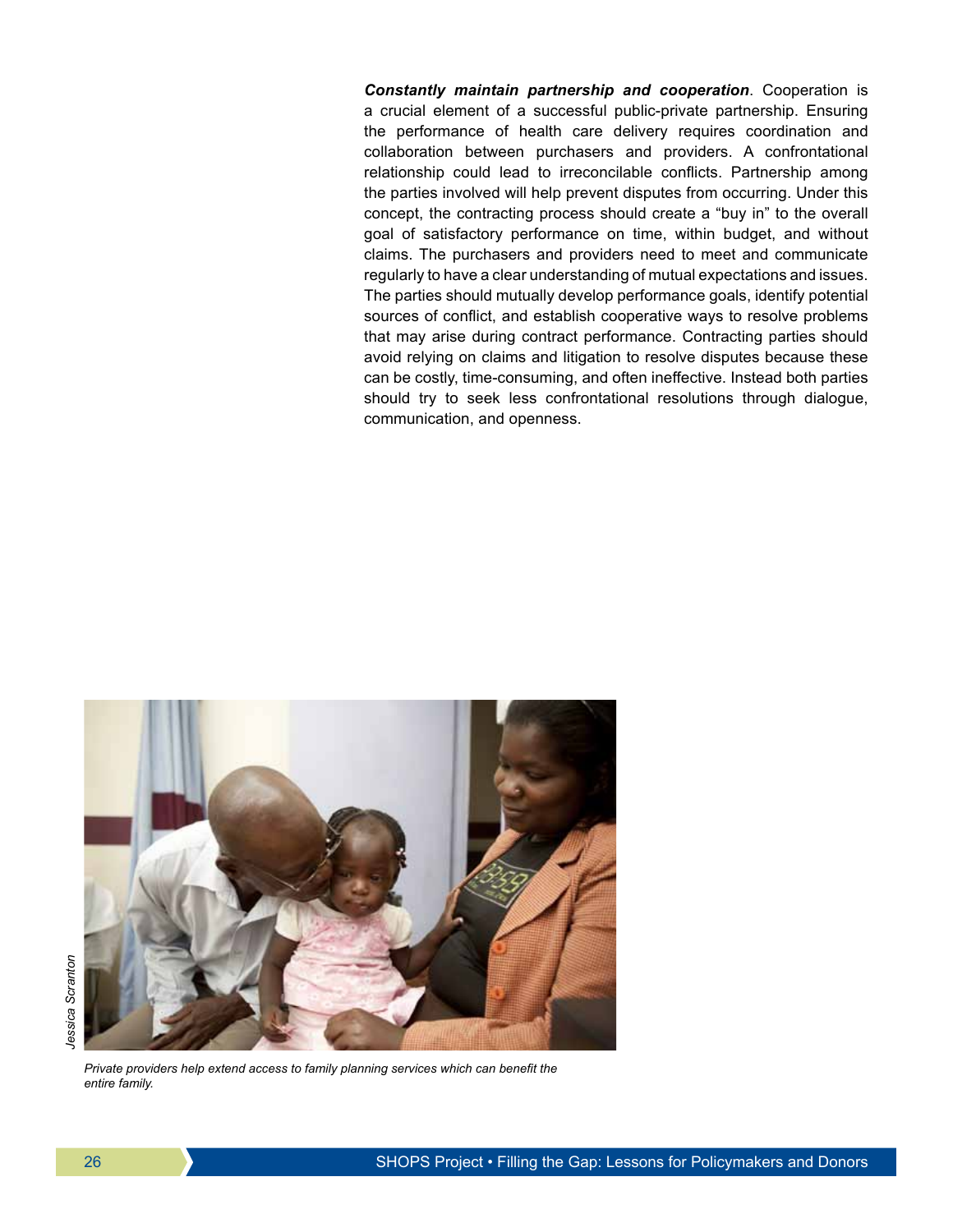*Constantly maintain partnership and cooperation*. Cooperation is a crucial element of a successful public-private partnership. Ensuring the performance of health care delivery requires coordination and collaboration between purchasers and providers. A confrontational relationship could lead to irreconcilable conflicts. Partnership among the parties involved will help prevent disputes from occurring. Under this concept, the contracting process should create a "buy in" to the overall goal of satisfactory performance on time, within budget, and without claims. The purchasers and providers need to meet and communicate regularly to have a clear understanding of mutual expectations and issues. The parties should mutually develop performance goals, identify potential sources of conflict, and establish cooperative ways to resolve problems that may arise during contract performance. Contracting parties should avoid relying on claims and litigation to resolve disputes because these can be costly, time-consuming, and often ineffective. Instead both parties should try to seek less confrontational resolutions through dialogue, communication, and openness.



*Private providers help extend access to family planning services which can benefit the entire family.*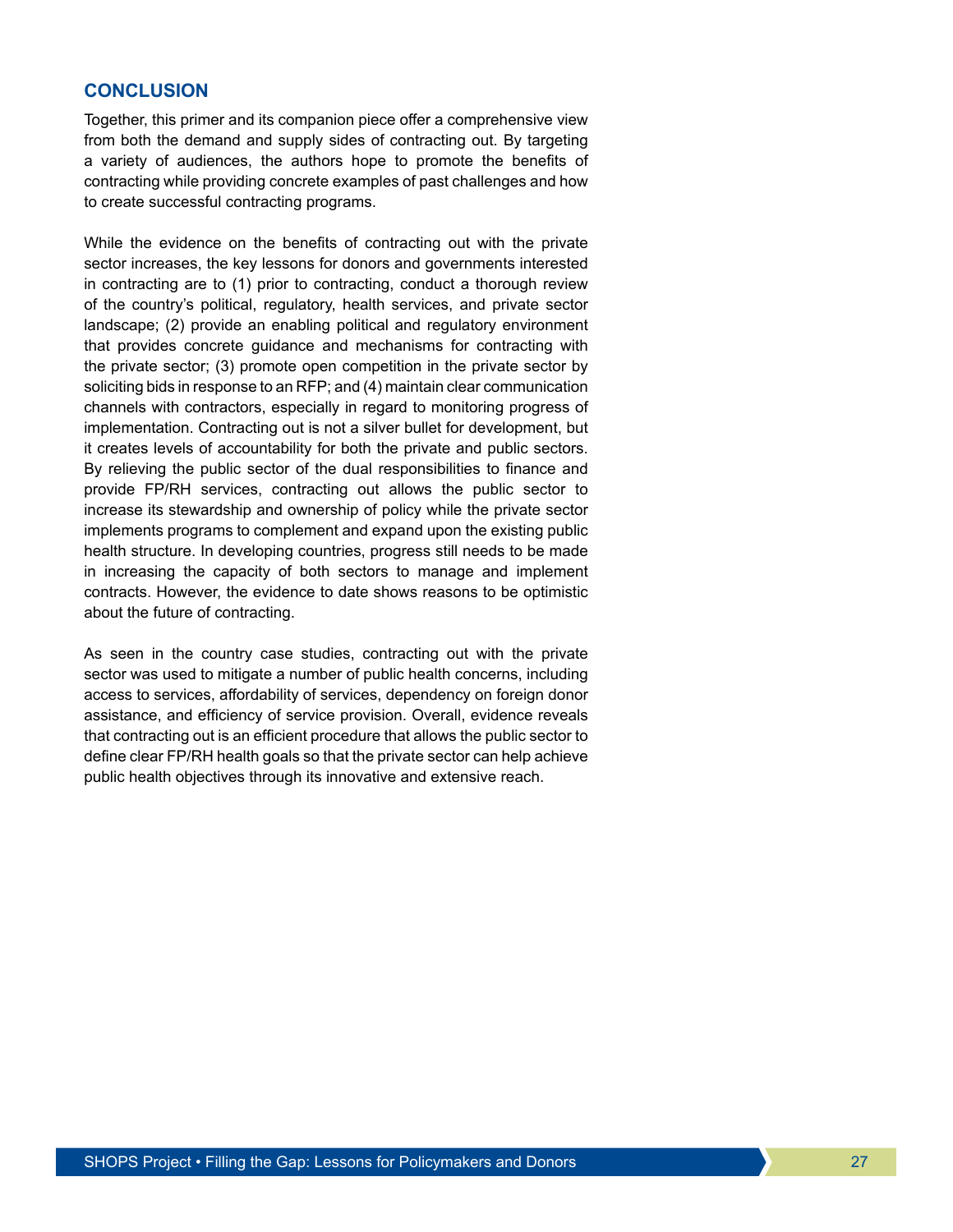## **CONCLUSION**

Together, this primer and its companion piece offer a comprehensive view from both the demand and supply sides of contracting out. By targeting a variety of audiences, the authors hope to promote the benefits of contracting while providing concrete examples of past challenges and how to create successful contracting programs.

While the evidence on the benefits of contracting out with the private sector increases, the key lessons for donors and governments interested in contracting are to (1) prior to contracting, conduct a thorough review of the country's political, regulatory, health services, and private sector landscape; (2) provide an enabling political and regulatory environment that provides concrete guidance and mechanisms for contracting with the private sector; (3) promote open competition in the private sector by soliciting bids in response to an RFP; and (4) maintain clear communication channels with contractors, especially in regard to monitoring progress of implementation. Contracting out is not a silver bullet for development, but it creates levels of accountability for both the private and public sectors. By relieving the public sector of the dual responsibilities to finance and provide FP/RH services, contracting out allows the public sector to increase its stewardship and ownership of policy while the private sector implements programs to complement and expand upon the existing public health structure. In developing countries, progress still needs to be made in increasing the capacity of both sectors to manage and implement contracts. However, the evidence to date shows reasons to be optimistic about the future of contracting.

As seen in the country case studies, contracting out with the private sector was used to mitigate a number of public health concerns, including access to services, affordability of services, dependency on foreign donor assistance, and efficiency of service provision. Overall, evidence reveals that contracting out is an efficient procedure that allows the public sector to define clear FP/RH health goals so that the private sector can help achieve public health objectives through its innovative and extensive reach.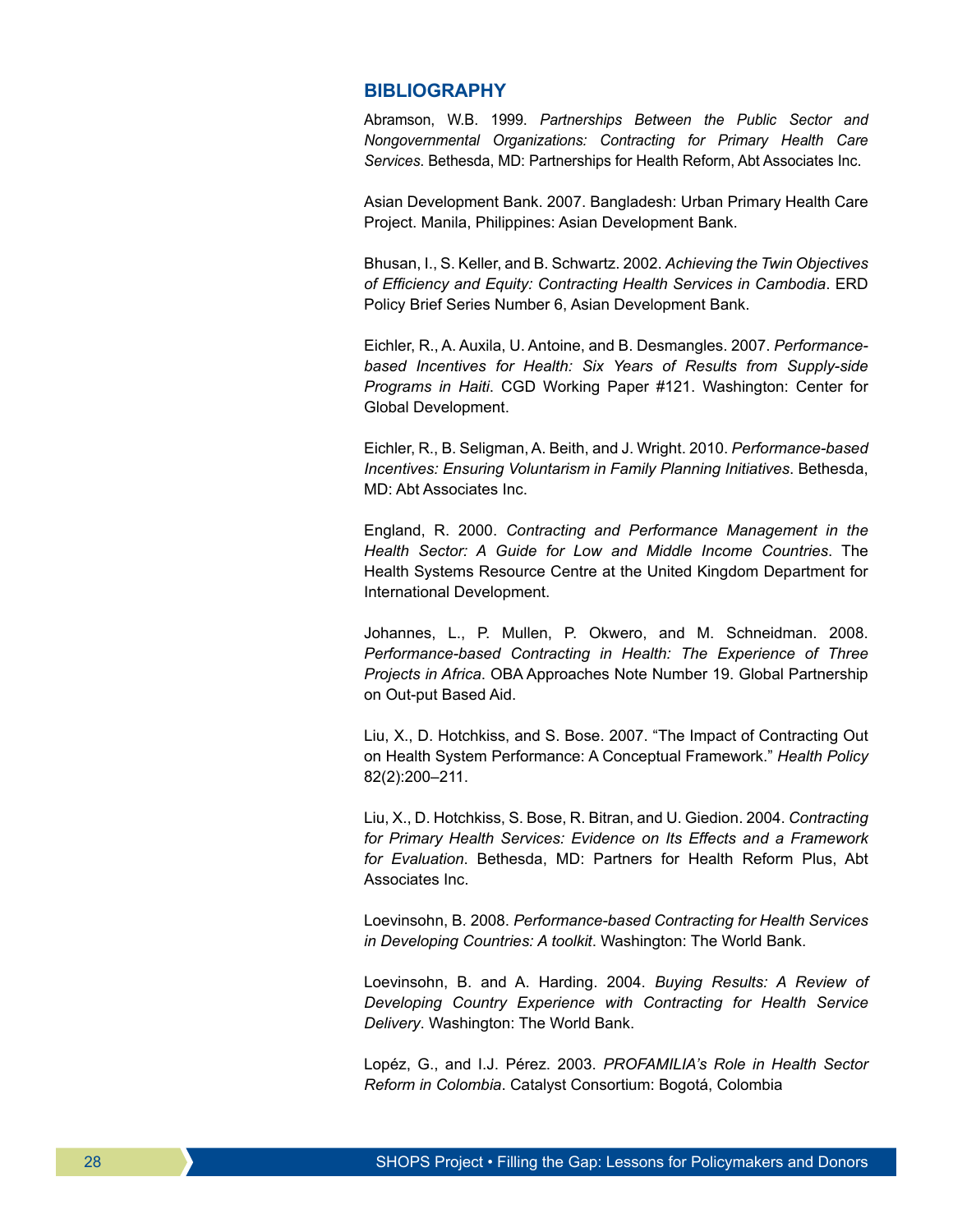#### **BIBLIOGRAPHY**

Abramson, W.B. 1999. *Partnerships Between the Public Sector and Nongovernmental Organizations: Contracting for Primary Health Care Services*. Bethesda, MD: Partnerships for Health Reform, Abt Associates Inc.

Asian Development Bank. 2007. Bangladesh: Urban Primary Health Care Project. Manila, Philippines: Asian Development Bank.

Bhusan, I., S. Keller, and B. Schwartz. 2002. *Achieving the Twin Objectives of Efficiency and Equity: Contracting Health Services in Cambodia*. ERD Policy Brief Series Number 6, Asian Development Bank.

Eichler, R., A. Auxila, U. Antoine, and B. Desmangles. 2007. *Performancebased Incentives for Health: Six Years of Results from Supply-side Programs in Haiti*. CGD Working Paper #121. Washington: Center for Global Development.

Eichler, R., B. Seligman, A. Beith, and J. Wright. 2010. *Performance-based Incentives: Ensuring Voluntarism in Family Planning Initiatives*. Bethesda, MD: Abt Associates Inc.

England, R. 2000. *Contracting and Performance Management in the Health Sector: A Guide for Low and Middle Income Countries*. The Health Systems Resource Centre at the United Kingdom Department for International Development.

Johannes, L., P. Mullen, P. Okwero, and M. Schneidman. 2008. *Performance-based Contracting in Health: The Experience of Three Projects in Africa*. OBA Approaches Note Number 19. Global Partnership on Out-put Based Aid.

Liu, X., D. Hotchkiss, and S. Bose. 2007. "The Impact of Contracting Out on Health System Performance: A Conceptual Framework." *Health Policy* 82(2):200–211.

Liu, X., D. Hotchkiss, S. Bose, R. Bitran, and U. Giedion. 2004. *Contracting for Primary Health Services: Evidence on Its Effects and a Framework for Evaluation*. Bethesda, MD: Partners for Health Reform Plus, Abt Associates Inc.

Loevinsohn, B. 2008. *Performance-based Contracting for Health Services in Developing Countries: A toolkit*. Washington: The World Bank.

Loevinsohn, B. and A. Harding. 2004. *Buying Results: A Review of Developing Country Experience with Contracting for Health Service Delivery*. Washington: The World Bank.

Lopéz, G., and I.J. Pérez. 2003. *PROFAMILIA's Role in Health Sector Reform in Colombia*. Catalyst Consortium: Bogotá, Colombia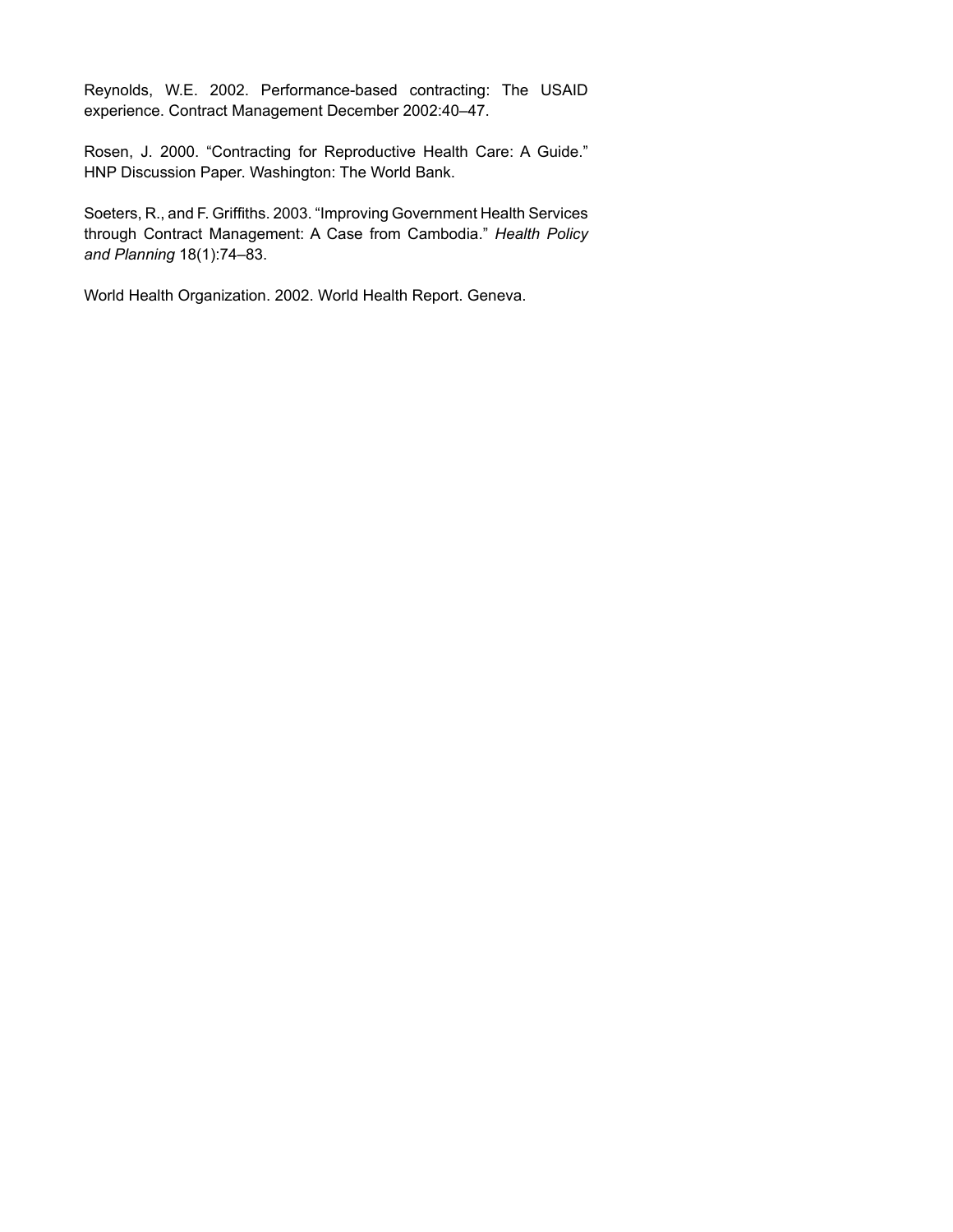Reynolds, W.E. 2002. Performance-based contracting: The USAID experience. Contract Management December 2002:40–47.

Rosen, J. 2000. "Contracting for Reproductive Health Care: A Guide." HNP Discussion Paper. Washington: The World Bank.

Soeters, R., and F. Griffiths. 2003. "Improving Government Health Services through Contract Management: A Case from Cambodia." *Health Policy and Planning* 18(1):74–83.

World Health Organization. 2002. World Health Report. Geneva.